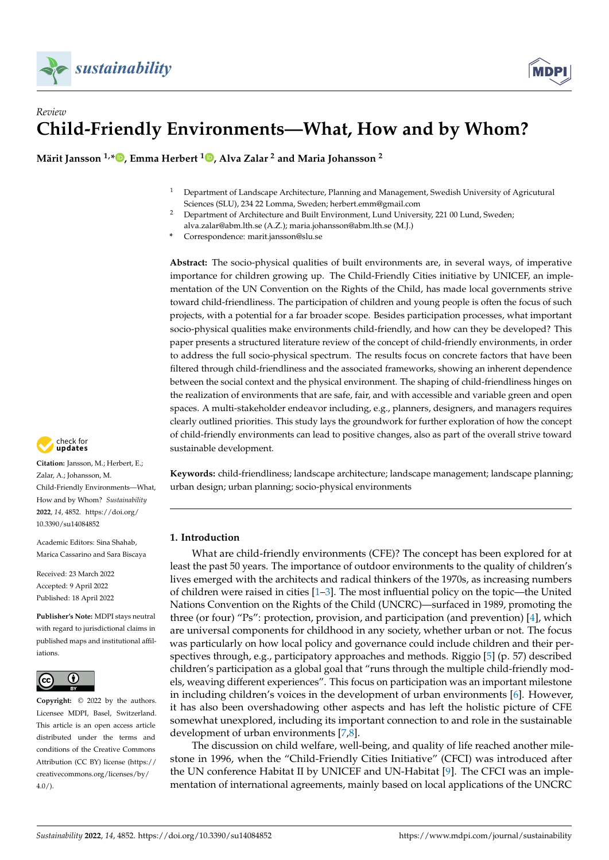

## *Review* **Child-Friendly Environments—What, How and by Whom?**

**Märit Jansson 1,\* [,](https://orcid.org/0000-0002-7841-1577) Emma Herbert <sup>1</sup> [,](https://orcid.org/0000-0002-1712-6430) Alva Zalar <sup>2</sup> and Maria Johansson <sup>2</sup>**

- <sup>1</sup> Department of Landscape Architecture, Planning and Management, Swedish University of Agricutural Sciences (SLU), 234 22 Lomma, Sweden; herbert.emm@gmail.com
- <sup>2</sup> Department of Architecture and Built Environment, Lund University, 221 00 Lund, Sweden; alva.zalar@abm.lth.se (A.Z.); maria.johansson@abm.lth.se (M.J.)
- **\*** Correspondence: marit.jansson@slu.se

**Abstract:** The socio-physical qualities of built environments are, in several ways, of imperative importance for children growing up. The Child-Friendly Cities initiative by UNICEF, an implementation of the UN Convention on the Rights of the Child, has made local governments strive toward child-friendliness. The participation of children and young people is often the focus of such projects, with a potential for a far broader scope. Besides participation processes, what important socio-physical qualities make environments child-friendly, and how can they be developed? This paper presents a structured literature review of the concept of child-friendly environments, in order to address the full socio-physical spectrum. The results focus on concrete factors that have been filtered through child-friendliness and the associated frameworks, showing an inherent dependence between the social context and the physical environment. The shaping of child-friendliness hinges on the realization of environments that are safe, fair, and with accessible and variable green and open spaces. A multi-stakeholder endeavor including, e.g., planners, designers, and managers requires clearly outlined priorities. This study lays the groundwork for further exploration of how the concept of child-friendly environments can lead to positive changes, also as part of the overall strive toward sustainable development.

**Keywords:** child-friendliness; landscape architecture; landscape management; landscape planning; urban design; urban planning; socio-physical environments

### **1. Introduction**

What are child-friendly environments (CFE)? The concept has been explored for at least the past 50 years. The importance of outdoor environments to the quality of children's lives emerged with the architects and radical thinkers of the 1970s, as increasing numbers of children were raised in cities [\[1](#page-22-0)[–3\]](#page-22-1). The most influential policy on the topic—the United Nations Convention on the Rights of the Child (UNCRC)—surfaced in 1989, promoting the three (or four) "Ps": protection, provision, and participation (and prevention) [\[4\]](#page-22-2), which are universal components for childhood in any society, whether urban or not. The focus was particularly on how local policy and governance could include children and their perspectives through, e.g., participatory approaches and methods. Riggio [\[5\]](#page-22-3) (p. 57) described children's participation as a global goal that "runs through the multiple child-friendly models, weaving different experiences". This focus on participation was an important milestone in including children's voices in the development of urban environments [\[6\]](#page-22-4). However, it has also been overshadowing other aspects and has left the holistic picture of CFE somewhat unexplored, including its important connection to and role in the sustainable development of urban environments [\[7](#page-22-5)[,8\]](#page-22-6).

The discussion on child welfare, well-being, and quality of life reached another milestone in 1996, when the "Child-Friendly Cities Initiative" (CFCI) was introduced after the UN conference Habitat II by UNICEF and UN-Habitat [\[9\]](#page-22-7). The CFCI was an implementation of international agreements, mainly based on local applications of the UNCRC



**Citation:** Jansson, M.; Herbert, E.; Zalar, A.; Johansson, M. Child-Friendly Environments—What, How and by Whom? *Sustainability* **2022**, *14*, 4852. [https://doi.org/](https://doi.org/10.3390/su14084852) [10.3390/su14084852](https://doi.org/10.3390/su14084852)

Academic Editors: Sina Shahab, Marica Cassarino and Sara Biscaya

Received: 23 March 2022 Accepted: 9 April 2022 Published: 18 April 2022

**Publisher's Note:** MDPI stays neutral with regard to jurisdictional claims in published maps and institutional affiliations.



**Copyright:** © 2022 by the authors. Licensee MDPI, Basel, Switzerland. This article is an open access article distributed under the terms and conditions of the Creative Commons Attribution (CC BY) license [\(https://](https://creativecommons.org/licenses/by/4.0/) [creativecommons.org/licenses/by/](https://creativecommons.org/licenses/by/4.0/)  $4.0/$ ).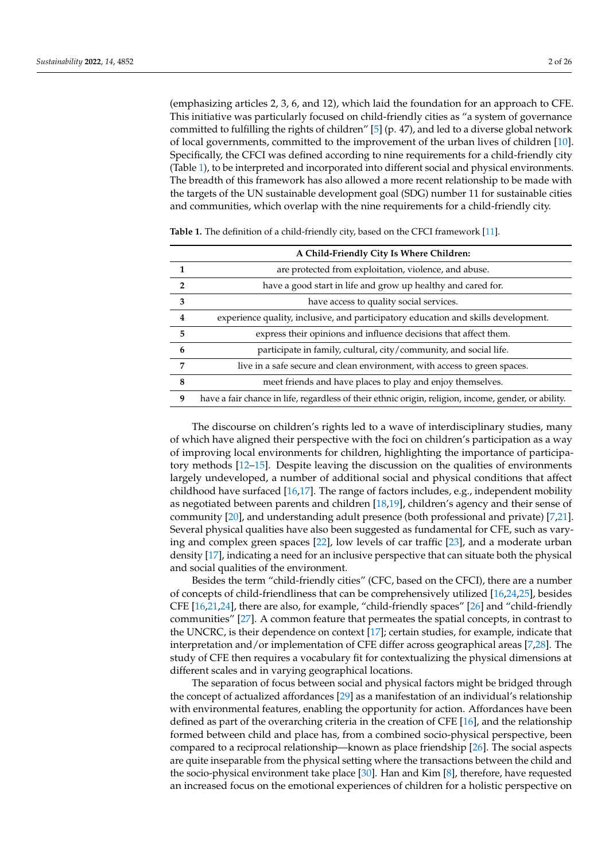(emphasizing articles 2, 3, 6, and 12), which laid the foundation for an approach to CFE. This initiative was particularly focused on child-friendly cities as "a system of governance committed to fulfilling the rights of children" [\[5\]](#page-22-3) (p. 47), and led to a diverse global network of local governments, committed to the improvement of the urban lives of children [\[10\]](#page-22-8). Specifically, the CFCI was defined according to nine requirements for a child-friendly city (Table [1\)](#page-1-0), to be interpreted and incorporated into different social and physical environments. The breadth of this framework has also allowed a more recent relationship to be made with the targets of the UN sustainable development goal (SDG) number 11 for sustainable cities and communities, which overlap with the nine requirements for a child-friendly city.

|                | A Child-Friendly City Is Where Children:                                                             |
|----------------|------------------------------------------------------------------------------------------------------|
| 1              | are protected from exploitation, violence, and abuse.                                                |
| $\overline{2}$ | have a good start in life and grow up healthy and cared for.                                         |
| 3              | have access to quality social services.                                                              |
| 4              | experience quality, inclusive, and participatory education and skills development.                   |
| 5              | express their opinions and influence decisions that affect them.                                     |
| 6              | participate in family, cultural, city/community, and social life.                                    |
| 7              | live in a safe secure and clean environment, with access to green spaces.                            |
| 8              | meet friends and have places to play and enjoy themselves.                                           |
| 9              | have a fair chance in life, regardless of their ethnic origin, religion, income, gender, or ability. |

<span id="page-1-0"></span>**Table 1.** The definition of a child-friendly city, based on the CFCI framework [\[11\]](#page-22-9).

The discourse on children's rights led to a wave of interdisciplinary studies, many of which have aligned their perspective with the foci on children's participation as a way of improving local environments for children, highlighting the importance of participatory methods [\[12–](#page-22-10)[15\]](#page-22-11). Despite leaving the discussion on the qualities of environments largely undeveloped, a number of additional social and physical conditions that affect childhood have surfaced [\[16,](#page-22-12)[17\]](#page-22-13). The range of factors includes, e.g., independent mobility as negotiated between parents and children [\[18,](#page-22-14)[19\]](#page-22-15), children's agency and their sense of community [\[20\]](#page-22-16), and understanding adult presence (both professional and private) [\[7,](#page-22-5)[21\]](#page-22-17). Several physical qualities have also been suggested as fundamental for CFE, such as varying and complex green spaces [\[22\]](#page-22-18), low levels of car traffic [\[23\]](#page-22-19), and a moderate urban density [\[17\]](#page-22-13), indicating a need for an inclusive perspective that can situate both the physical and social qualities of the environment.

Besides the term "child-friendly cities" (CFC, based on the CFCI), there are a number of concepts of child-friendliness that can be comprehensively utilized [\[16,](#page-22-12)[24,](#page-22-20)[25\]](#page-23-0), besides CFE [\[16,](#page-22-12)[21,](#page-22-17)[24\]](#page-22-20), there are also, for example, "child-friendly spaces" [\[26\]](#page-23-1) and "child-friendly communities" [\[27\]](#page-23-2). A common feature that permeates the spatial concepts, in contrast to the UNCRC, is their dependence on context [\[17\]](#page-22-13); certain studies, for example, indicate that interpretation and/or implementation of CFE differ across geographical areas [\[7,](#page-22-5)[28\]](#page-23-3). The study of CFE then requires a vocabulary fit for contextualizing the physical dimensions at different scales and in varying geographical locations.

The separation of focus between social and physical factors might be bridged through the concept of actualized affordances [\[29\]](#page-23-4) as a manifestation of an individual's relationship with environmental features, enabling the opportunity for action. Affordances have been defined as part of the overarching criteria in the creation of CFE [\[16\]](#page-22-12), and the relationship formed between child and place has, from a combined socio-physical perspective, been compared to a reciprocal relationship—known as place friendship [\[26\]](#page-23-1). The social aspects are quite inseparable from the physical setting where the transactions between the child and the socio-physical environment take place [\[30\]](#page-23-5). Han and Kim [\[8\]](#page-22-6), therefore, have requested an increased focus on the emotional experiences of children for a holistic perspective on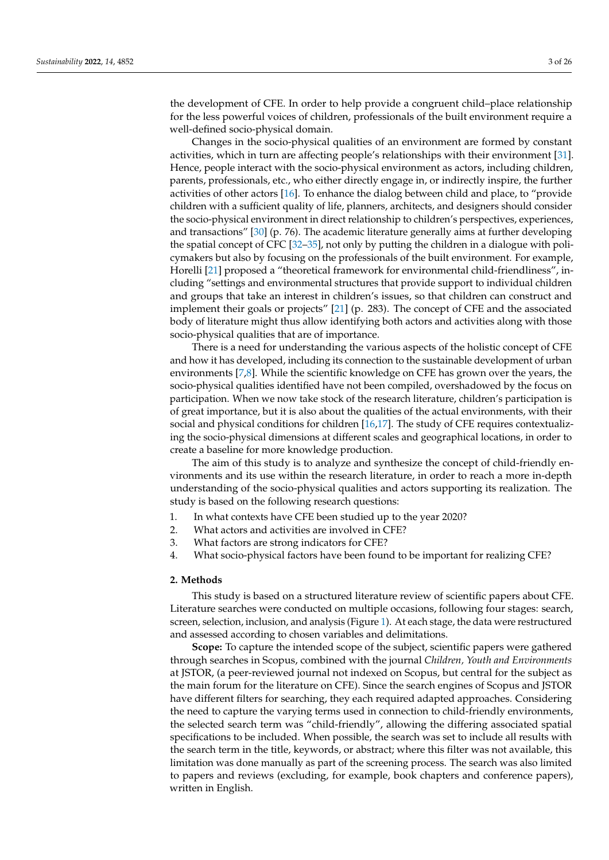the development of CFE. In order to help provide a congruent child–place relationship for the less powerful voices of children, professionals of the built environment require a well-defined socio-physical domain.

Changes in the socio-physical qualities of an environment are formed by constant activities, which in turn are affecting people's relationships with their environment [\[31\]](#page-23-6). Hence, people interact with the socio-physical environment as actors, including children, parents, professionals, etc., who either directly engage in, or indirectly inspire, the further activities of other actors [\[16\]](#page-22-12). To enhance the dialog between child and place, to "provide children with a sufficient quality of life, planners, architects, and designers should consider the socio-physical environment in direct relationship to children's perspectives, experiences, and transactions" [\[30\]](#page-23-5) (p. 76). The academic literature generally aims at further developing the spatial concept of CFC [32-[35\]](#page-23-8), not only by putting the children in a dialogue with policymakers but also by focusing on the professionals of the built environment. For example, Horelli [\[21\]](#page-22-17) proposed a "theoretical framework for environmental child-friendliness", including "settings and environmental structures that provide support to individual children and groups that take an interest in children's issues, so that children can construct and implement their goals or projects" [\[21\]](#page-22-17) (p. 283). The concept of CFE and the associated body of literature might thus allow identifying both actors and activities along with those socio-physical qualities that are of importance.

There is a need for understanding the various aspects of the holistic concept of CFE and how it has developed, including its connection to the sustainable development of urban environments [\[7,](#page-22-5)[8\]](#page-22-6). While the scientific knowledge on CFE has grown over the years, the socio-physical qualities identified have not been compiled, overshadowed by the focus on participation. When we now take stock of the research literature, children's participation is of great importance, but it is also about the qualities of the actual environments, with their social and physical conditions for children [\[16,](#page-22-12)[17\]](#page-22-13). The study of CFE requires contextualizing the socio-physical dimensions at different scales and geographical locations, in order to create a baseline for more knowledge production.

The aim of this study is to analyze and synthesize the concept of child-friendly environments and its use within the research literature, in order to reach a more in-depth understanding of the socio-physical qualities and actors supporting its realization. The study is based on the following research questions:

- 1. In what contexts have CFE been studied up to the year 2020?
- 2. What actors and activities are involved in CFE?
- 3. What factors are strong indicators for CFE?
- 4. What socio-physical factors have been found to be important for realizing CFE?

### **2. Methods**

This study is based on a structured literature review of scientific papers about CFE. Literature searches were conducted on multiple occasions, following four stages: search, screen, selection, inclusion, and analysis (Figure [1\)](#page-3-0). At each stage, the data were restructured and assessed according to chosen variables and delimitations.

**Scope:** To capture the intended scope of the subject, scientific papers were gathered through searches in Scopus, combined with the journal *Children, Youth and Environments* at JSTOR, (a peer-reviewed journal not indexed on Scopus, but central for the subject as the main forum for the literature on CFE). Since the search engines of Scopus and JSTOR have different filters for searching, they each required adapted approaches. Considering the need to capture the varying terms used in connection to child-friendly environments, the selected search term was "child-friendly", allowing the differing associated spatial specifications to be included. When possible, the search was set to include all results with the search term in the title, keywords, or abstract; where this filter was not available, this limitation was done manually as part of the screening process. The search was also limited to papers and reviews (excluding, for example, book chapters and conference papers), written in English.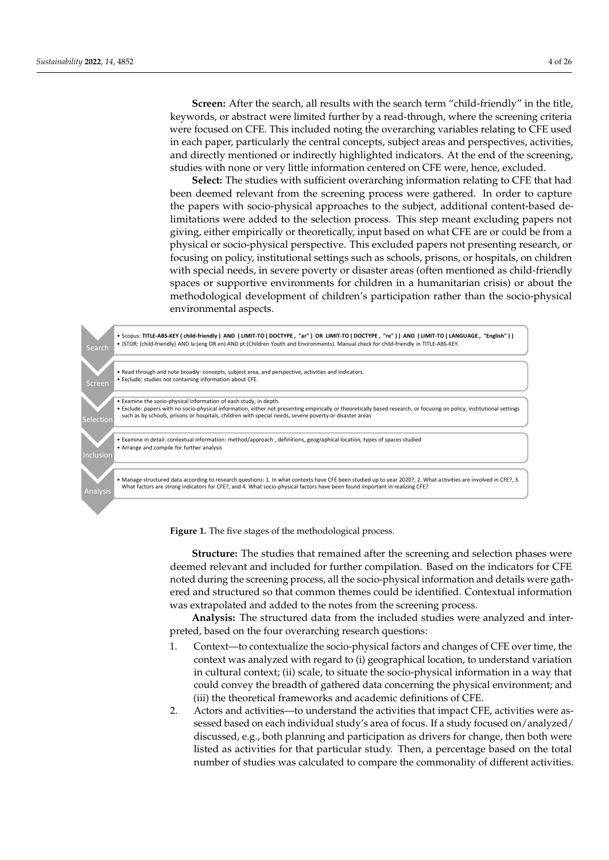**Screen:** After the search, all results with the search term "child-friendly" in the title, keywords, or abstract were limited further by a read-through, where the screening criteria were focused on CFE. This included noting the overarching variables relating to CFE used in each paper, particularly the central concepts, subject areas and perspectives, activities, and directly mentioned or indirectly highlighted indicators. At the end of the screening, studies with none or very little information centered on CFE were, hence, excluded.

**Select:** The studies with sufficient overarching information relating to CFE that had been deemed relevant from the screening process were gathered. In order to capture the papers with socio-physical approaches to the subject, additional content-based delimitations were added to the selection process. This step meant excluding papers not giving, either empirically or theoretically, input based on what CFE are or could be from a physical or socio-physical perspective. This excluded papers not presenting research, or focusing on policy, institutional settings such as schools, prisons, or hospitals, on children with special needs, in severe poverty or disaster areas (often mentioned as child-friendly spaces or supportive environments for children in a humanitarian crisis) or about the methodological development of children's participation rather than the socio-physical environmental aspects.

<span id="page-3-0"></span>

**Figure 1.** The five stages of the methodological process. **Figure 1.** The five stages of the methodological process.

**Structure:** The studies that remained after the screening and selection phases were deemed relevant and included for further compilation. Based on the indicators for CFE deemed relevant and included for further compilation. Based on the indicators for CFE<br>noted during the screening process, all the socio-physical information and details were gathered and structured so that common themes could be identified. Contextual information was extrapolated and added to the notes from the screening process.

Analysis: The structured data from the included studies were analyzed and interpreted, based on the four overarching research questions:

- 1. Context—to contextualize the socio-physical factors and changes of CFE over time, the context was analyzed with regard to (i) geographical location, to understand variation in cultural context; (ii) scale, to situate the socio-physical information in a way that could convey the breadth of gathered data concerning the physical environment; and (iii) the theoretical frameworks and academic definitions of CFE.
- 2. Actors and activities—to understand the activities that impact CFE, activities were assessed based on each individual study's area of focus. If a study focused on/analyzed/ discussed, e.g., both planning and participation as drivers for change, then both were listed as activities for that particular study. Then, a percentage based on the total number of studies was calculated to compare the commonality of different activities.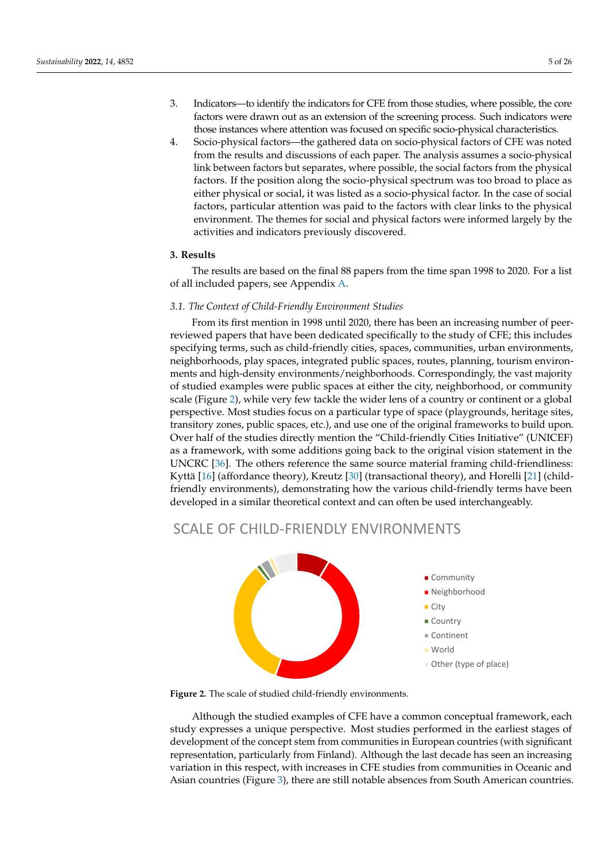- 3. Indicators—to identify the indicators for CFE from those studies, where possible, the core factors were drawn out as an extension of the screening process. Such indicators were those instances where attention was focused on specific socio-physical characteristics.
- 4. Socio-physical factors—the gathered data on socio-physical factors of CFE was noted from the results and discussions of each paper. The analysis assumes a socio-physical link between factors but separates, where possible, the social factors from the physical factors. If the position along the socio-physical spectrum was too broad to place as either physical or social, it was listed as a socio-physical factor. In the case of social factors, particular attention was paid to the factors with clear links to the physical environment. The themes for social and physical factors were informed largely by the activities and indicators previously discovered.

#### **3. Results**

The results are based on the final 88 papers from the time span 1998 to 2020. For a list of all included papers, see Appendix [A.](#page-16-0)

#### *3.1. The Context of Child-Friendly Environment Studies*

From its first mention in 1998 until 2020, there has been an increasing number of peerreviewed papers that have been dedicated specifically to the study of CFE; this includes specifying terms, such as child-friendly cities, spaces, communities, urban environments, neighborhoods, play spaces, integrated public spaces, routes, planning, tourism environments and high-density environments/neighborhoods. Correspondingly, the vast majority of studied examples were public spaces at either the city, neighborhood, or community scale (Figure [2\)](#page-4-0), while very few tackle the wider lens of a country or continent or a global perspective. Most studies focus on a particular type of space (playgrounds, heritage sites, transitory zones, public spaces, etc.), and use one of the original frameworks to build upon. Over half of the studies directly mention the "Child-friendly Cities Initiative" (UNICEF) as a framework, with some additions going back to the original vision statement in the UNCRC [\[36\]](#page-23-9). The others reference the same source material framing child-friendliness: Kyttä [\[16\]](#page-22-12) (affordance theory), Kreutz [\[30\]](#page-23-5) (transactional theory), and Horelli [\[21\]](#page-22-17) (childfriendly environments), demonstrating how the various child-friendly terms have been developed in a similar theoretical context and can often be used interchangeably.

# <span id="page-4-0"></span>SCALE OF CHILD-FRIENDLY ENVIRONMENTS



**Figure 2.** The scale of studied child-friendly environments.

study expresses a unique perspective. Most studies performed in the earliest stages of development of the concept stem from communities in European countries (with significant representation, particularly from Finland). Although the last decade has seen an increasing variation in this respect, with increases in CFE studies from communities in Oceanic and Asian countries (Figure 3), there are still notable absences from South American countries. Although the studied examples of CFE have a common conceptual framework, each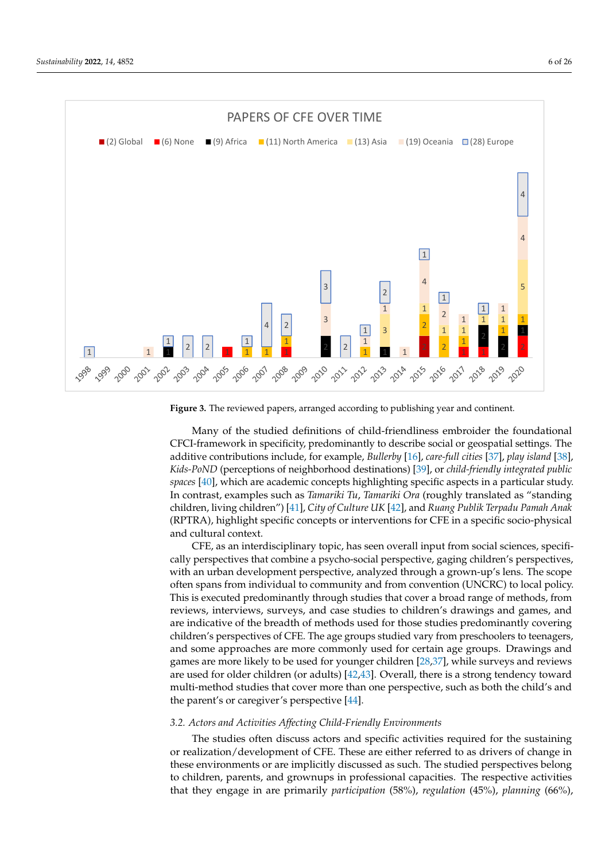<span id="page-5-0"></span>



**Figure 3.** The reviewed papers, arranged according to publishing year and continent. **Figure 3.** The reviewed papers, arranged according to publishing year and continent.

Many of the studied definitions of child-friendliness embroider the foundational Many of the studied definitions of child-friendliness embroider the foundational CFCI-framework in specificity, predominantly to describe social or geospatial settings. CFCI-framework in specificity, predominantly to describe social or geospatial settings. The additive contributions include, for example, Bull[erby](#page-22-12) [16], care-full c[itie](#page-23-10)s [37], play is[land](#page-23-11) [38], [38], *Kids-PoND* (perceptions of neighborhood destinat[ion](#page-23-12)s) [39], or *child-friendly integrated Kids-PoND* (perceptions of neighborhood destinations) [39], or *child-friendly integrated public public [spac](#page-23-13)es* [40], which are academic concepts highlighting specific aspects in a particular *spaces* [40], which are academic concepts highlighting specific aspects in a particular study. In contrast, examples such as *Tamariki Tu*, *Tamariki Ora* (roughly translated as "standing children, living children") [\[41\]](#page-23-14), *City of Culture UK* [\[42\]](#page-23-15), and *Ruang Publik Terpadu Pamah Anak* (RPTRA), highlight specific concepts or interventions for CFE in a specific socio-physical and cultural context.

CFE, as an interdisciplinary topic, has seen overall input from social sciences, specifically perspectives that combine a psycho-social perspective, gaging children's perspectives, with an urban development perspective, analyzed through a grown-up's lens. The scope often spans from individual to community and from convention (UNCRC) to local policy. This is executed predominantly through studies that cover a broad range of methods, from reviews, interviews, surveys, and case studies to children's drawings and games, and are indicative of the breadth of methods used for those studies predominantly covering children's perspectives of CFE. The age groups studied vary from preschoolers to teenagers, and some approaches are more commonly used for certain age groups. Drawings and games are more likely to be used for younger children [\[28](#page-23-3)[,37\]](#page-23-10), while surveys and reviews are used for older children (or adults) [\[42](#page-23-15)[,43\]](#page-23-16). Overall, there is a strong tendency toward multi-method studies that cover more than one perspective, such as both the child's and the parent's or caregiver's perspective [\[44\]](#page-23-17).

## *3.2. Actors and Activities Affecting Child-Friendly Environments*

The studies often discuss actors and specific activities required for the sustaining or realization/development of CFE. These are either referred to as drivers of change in these environments or are implicitly discussed as such. The studied perspectives belong to children, parents, and grownups in professional capacities. The respective activities that they engage in are primarily *participation* (58%), *regulation* (45%), *planning* (66%),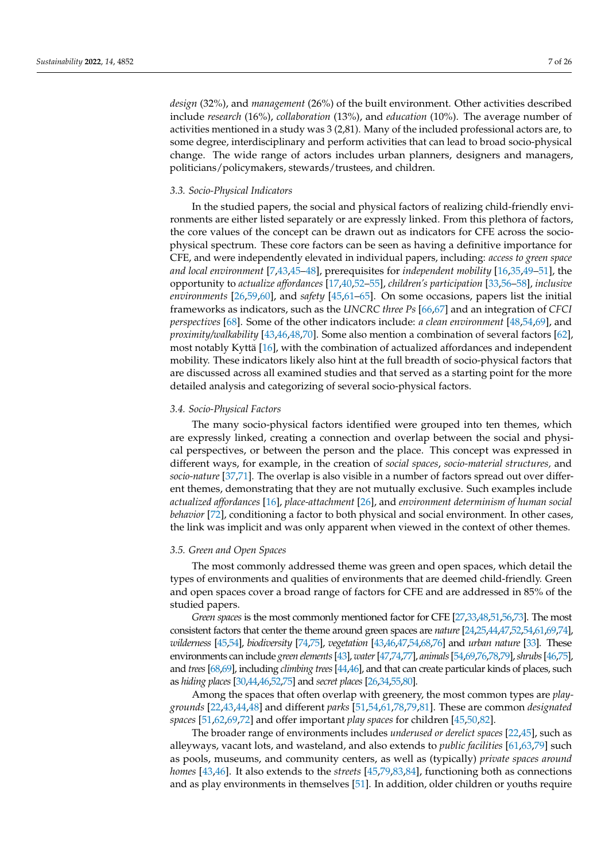*design* (32%), and *management* (26%) of the built environment. Other activities described include *research* (16%), *collaboration* (13%), and *education* (10%). The average number of activities mentioned in a study was 3 (2,81). Many of the included professional actors are, to some degree, interdisciplinary and perform activities that can lead to broad socio-physical change. The wide range of actors includes urban planners, designers and managers, politicians/policymakers, stewards/trustees, and children.

#### *3.3. Socio-Physical Indicators*

In the studied papers, the social and physical factors of realizing child-friendly environments are either listed separately or are expressly linked. From this plethora of factors, the core values of the concept can be drawn out as indicators for CFE across the sociophysical spectrum. These core factors can be seen as having a definitive importance for CFE, and were independently elevated in individual papers, including: *access to green space and local environment* [\[7](#page-22-5)[,43](#page-23-16)[,45–](#page-23-18)[48\]](#page-23-19), prerequisites for *independent mobility* [\[16,](#page-22-12)[35,](#page-23-8)[49–](#page-23-20)[51\]](#page-23-21), the opportunity to *actualize affordances* [\[17,](#page-22-13)[40](#page-23-13)[,52](#page-23-22)[–55\]](#page-23-23), *children's participation* [\[33,](#page-23-24)[56](#page-23-25)[–58\]](#page-24-0), *inclusive environments* [\[26,](#page-23-1)[59,](#page-24-1)[60\]](#page-24-2), and *safety* [\[45,](#page-23-18)[61–](#page-24-3)[65\]](#page-24-4). On some occasions, papers list the initial frameworks as indicators, such as the *UNCRC three Ps* [\[66](#page-24-5)[,67\]](#page-24-6) and an integration of *CFCI perspectives* [\[68\]](#page-24-7). Some of the other indicators include: *a clean environment* [\[48,](#page-23-19)[54,](#page-23-26)[69\]](#page-24-8), and *proximity/walkability* [\[43,](#page-23-16)[46,](#page-23-27)[48](#page-23-19)[,70\]](#page-24-9). Some also mention a combination of several factors [\[62\]](#page-24-10), most notably Kyttä [\[16\]](#page-22-12), with the combination of actualized affordances and independent mobility. These indicators likely also hint at the full breadth of socio-physical factors that are discussed across all examined studies and that served as a starting point for the more detailed analysis and categorizing of several socio-physical factors.

#### *3.4. Socio-Physical Factors*

The many socio-physical factors identified were grouped into ten themes, which are expressly linked, creating a connection and overlap between the social and physical perspectives, or between the person and the place. This concept was expressed in different ways, for example, in the creation of *social spaces*, *socio-material structures,* and *socio-nature* [\[37](#page-23-10)[,71\]](#page-24-11). The overlap is also visible in a number of factors spread out over different themes, demonstrating that they are not mutually exclusive. Such examples include *actualized affordances* [\[16\]](#page-22-12), *place-attachment* [\[26\]](#page-23-1), and *environment determinism of human social behavior* [\[72\]](#page-24-12), conditioning a factor to both physical and social environment. In other cases, the link was implicit and was only apparent when viewed in the context of other themes.

#### <span id="page-6-0"></span>*3.5. Green and Open Spaces*

The most commonly addressed theme was green and open spaces, which detail the types of environments and qualities of environments that are deemed child-friendly. Green and open spaces cover a broad range of factors for CFE and are addressed in 85% of the studied papers.

*Green spaces* is the most commonly mentioned factor for CFE [\[27,](#page-23-2)[33](#page-23-24)[,48](#page-23-19)[,51](#page-23-21)[,56,](#page-23-25)[73\]](#page-24-13). The most consistent factors that center the theme around green spaces are *nature* [\[24](#page-22-20)[,25,](#page-23-0)[44,](#page-23-17)[47](#page-23-28)[,52,](#page-23-22)[54](#page-23-26)[,61](#page-24-3)[,69,](#page-24-8)[74\]](#page-24-14), *wilderness* [\[45](#page-23-18)[,54\]](#page-23-26), *biodiversity* [\[74](#page-24-14)[,75\]](#page-24-15), *vegetation* [\[43](#page-23-16)[,46,](#page-23-27)[47](#page-23-28)[,54,](#page-23-26)[68](#page-24-7)[,76\]](#page-24-16) and *urban nature* [\[33\]](#page-23-24). These environments can include *green elements*[\[43\]](#page-23-16), *water*[\[47,](#page-23-28)[74](#page-24-14)[,77\]](#page-24-17), *animals*[\[54](#page-23-26)[,69,](#page-24-8)[76,](#page-24-16)[78](#page-24-18)[,79\]](#page-24-19),*shrubs*[\[46](#page-23-27)[,75\]](#page-24-15), and *trees*[\[68](#page-24-7)[,69\]](#page-24-8), including *climbing trees*[\[44,](#page-23-17)[46\]](#page-23-27), and that can create particular kinds of places, such as *hiding places* [\[30](#page-23-5)[,44,](#page-23-17)[46](#page-23-27)[,52,](#page-23-22)[75\]](#page-24-15) and *secret places* [\[26](#page-23-1)[,34,](#page-23-29)[55,](#page-23-23)[80\]](#page-24-20).

Among the spaces that often overlap with greenery, the most common types are *playgrounds* [\[22](#page-22-18)[,43](#page-23-16)[,44](#page-23-17)[,48\]](#page-23-19) and different *parks* [\[51,](#page-23-21)[54,](#page-23-26)[61,](#page-24-3)[78,](#page-24-18)[79,](#page-24-19)[81\]](#page-24-21). These are common *designated spaces* [\[51,](#page-23-21)[62,](#page-24-10)[69,](#page-24-8)[72\]](#page-24-12) and offer important *play spaces* for children [\[45](#page-23-18)[,50](#page-23-30)[,82\]](#page-24-22).

The broader range of environments includes *underused or derelict spaces* [\[22,](#page-22-18)[45\]](#page-23-18), such as alleyways, vacant lots, and wasteland, and also extends to *public facilities* [\[61](#page-24-3)[,63,](#page-24-23)[79\]](#page-24-19) such as pools, museums, and community centers, as well as (typically) *private spaces around homes* [\[43](#page-23-16)[,46\]](#page-23-27). It also extends to the *streets* [\[45](#page-23-18)[,79](#page-24-19)[,83](#page-24-24)[,84\]](#page-24-25), functioning both as connections and as play environments in themselves [\[51\]](#page-23-21). In addition, older children or youths require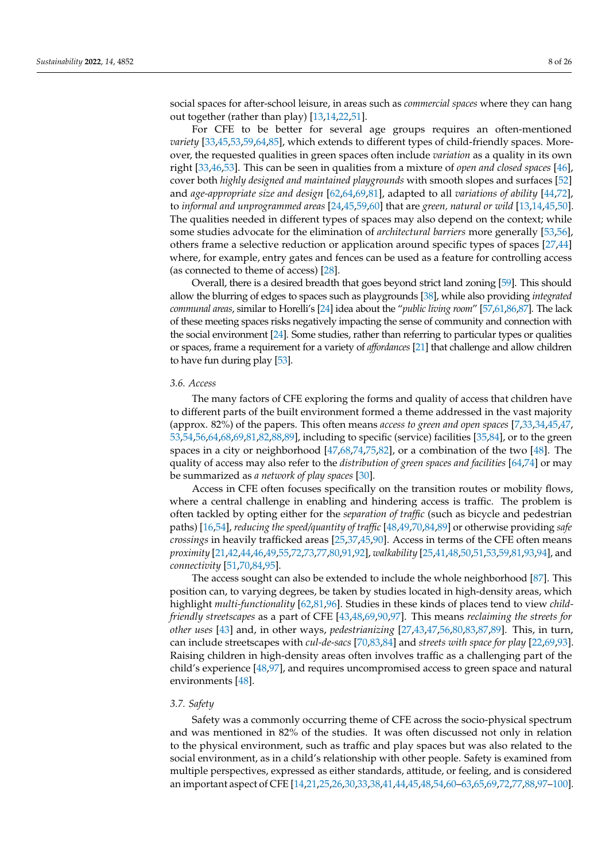social spaces for after-school leisure, in areas such as *commercial spaces* where they can hang out together (rather than play) [\[13,](#page-22-21)[14,](#page-22-22)[22,](#page-22-18)[51\]](#page-23-21).

For CFE to be better for several age groups requires an often-mentioned *variety* [\[33](#page-23-24)[,45](#page-23-18)[,53](#page-23-31)[,59](#page-24-1)[,64](#page-24-26)[,85\]](#page-24-27), which extends to different types of child-friendly spaces. Moreover, the requested qualities in green spaces often include *variation* as a quality in its own right [\[33,](#page-23-24)[46,](#page-23-27)[53\]](#page-23-31). This can be seen in qualities from a mixture of *open and closed spaces* [\[46\]](#page-23-27), cover both *highly designed and maintained playgrounds* with smooth slopes and surfaces [\[52\]](#page-23-22) and *age-appropriate size and design* [\[62,](#page-24-10)[64,](#page-24-26)[69,](#page-24-8)[81\]](#page-24-21), adapted to all *variations of ability* [\[44,](#page-23-17)[72\]](#page-24-12), to *informal and unprogrammed areas* [\[24](#page-22-20)[,45](#page-23-18)[,59,](#page-24-1)[60\]](#page-24-2) that are *green, natural or wild* [\[13,](#page-22-21)[14,](#page-22-22)[45,](#page-23-18)[50\]](#page-23-30). The qualities needed in different types of spaces may also depend on the context; while some studies advocate for the elimination of *architectural barriers* more generally [\[53,](#page-23-31)[56\]](#page-23-25), others frame a selective reduction or application around specific types of spaces [\[27](#page-23-2)[,44\]](#page-23-17) where, for example, entry gates and fences can be used as a feature for controlling access (as connected to theme of access) [\[28\]](#page-23-3).

Overall, there is a desired breadth that goes beyond strict land zoning [\[59\]](#page-24-1). This should allow the blurring of edges to spaces such as playgrounds [\[38\]](#page-23-11), while also providing *integrated communal areas*, similar to Horelli's [\[24\]](#page-22-20) idea about the "*public living room*" [\[57,](#page-24-28)[61,](#page-24-3)[86](#page-25-0)[,87\]](#page-25-1). The lack of these meeting spaces risks negatively impacting the sense of community and connection with the social environment [\[24\]](#page-22-20). Some studies, rather than referring to particular types or qualities or spaces, frame a requirement for a variety of *affordances* [\[21\]](#page-22-17) that challenge and allow children to have fun during play [\[53\]](#page-23-31).

#### *3.6. Access*

The many factors of CFE exploring the forms and quality of access that children have to different parts of the built environment formed a theme addressed in the vast majority (approx. 82%) of the papers. This often means *access to green and open spaces* [\[7,](#page-22-5)[33,](#page-23-24)[34,](#page-23-29)[45,](#page-23-18)[47,](#page-23-28) [53](#page-23-31)[,54,](#page-23-26)[56,](#page-23-25)[64,](#page-24-26)[68](#page-24-7)[,69](#page-24-8)[,81,](#page-24-21)[82,](#page-24-22)[88,](#page-25-2)[89\]](#page-25-3), including to specific (service) facilities [\[35](#page-23-8)[,84\]](#page-24-25), or to the green spaces in a city or neighborhood [\[47](#page-23-28)[,68](#page-24-7)[,74](#page-24-14)[,75](#page-24-15)[,82\]](#page-24-22), or a combination of the two [\[48\]](#page-23-19). The quality of access may also refer to the *distribution of green spaces and facilities* [\[64](#page-24-26)[,74\]](#page-24-14) or may be summarized as *a network of play spaces* [\[30\]](#page-23-5).

Access in CFE often focuses specifically on the transition routes or mobility flows, where a central challenge in enabling and hindering access is traffic. The problem is often tackled by opting either for the *separation of traffic* (such as bicycle and pedestrian paths) [\[16,](#page-22-12)[54\]](#page-23-26), *reducing the speed/quantity of traffic* [\[48](#page-23-19)[,49](#page-23-20)[,70](#page-24-9)[,84,](#page-24-25)[89\]](#page-25-3) or otherwise providing *safe crossings* in heavily trafficked areas [\[25](#page-23-0)[,37](#page-23-10)[,45](#page-23-18)[,90\]](#page-25-4). Access in terms of the CFE often means *proximity* [\[21](#page-22-17)[,42](#page-23-15)[,44,](#page-23-17)[46,](#page-23-27)[49](#page-23-20)[,55](#page-23-23)[,72](#page-24-12)[,73,](#page-24-13)[77,](#page-24-17)[80,](#page-24-20)[91](#page-25-5)[,92\]](#page-25-6), *walkability* [\[25](#page-23-0)[,41,](#page-23-14)[48,](#page-23-19)[50,](#page-23-30)[51](#page-23-21)[,53](#page-23-31)[,59](#page-24-1)[,81,](#page-24-21)[93,](#page-25-7)[94\]](#page-25-8), and *connectivity* [\[51](#page-23-21)[,70,](#page-24-9)[84,](#page-24-25)[95\]](#page-25-9).

The access sought can also be extended to include the whole neighborhood [\[87\]](#page-25-1). This position can, to varying degrees, be taken by studies located in high-density areas, which highlight *multi-functionality* [\[62](#page-24-10)[,81](#page-24-21)[,96\]](#page-25-10). Studies in these kinds of places tend to view *childfriendly streetscapes* as a part of CFE [\[43](#page-23-16)[,48](#page-23-19)[,69](#page-24-8)[,90](#page-25-4)[,97\]](#page-25-11). This means *reclaiming the streets for other uses* [\[43\]](#page-23-16) and, in other ways, *pedestrianizing* [\[27](#page-23-2)[,43,](#page-23-16)[47](#page-23-28)[,56,](#page-23-25)[80](#page-24-20)[,83,](#page-24-24)[87,](#page-25-1)[89\]](#page-25-3). This, in turn, can include streetscapes with *cul-de-sacs* [\[70](#page-24-9)[,83](#page-24-24)[,84\]](#page-24-25) and *streets with space for play* [\[22,](#page-22-18)[69,](#page-24-8)[93\]](#page-25-7). Raising children in high-density areas often involves traffic as a challenging part of the child's experience [\[48](#page-23-19)[,97\]](#page-25-11), and requires uncompromised access to green space and natural environments [\[48\]](#page-23-19).

#### *3.7. Safety*

Safety was a commonly occurring theme of CFE across the socio-physical spectrum and was mentioned in 82% of the studies. It was often discussed not only in relation to the physical environment, such as traffic and play spaces but was also related to the social environment, as in a child's relationship with other people. Safety is examined from multiple perspectives, expressed as either standards, attitude, or feeling, and is considered an important aspect of CFE [\[14](#page-22-22)[,21](#page-22-17)[,25,](#page-23-0)[26,](#page-23-1)[30](#page-23-5)[,33](#page-23-24)[,38](#page-23-11)[,41,](#page-23-14)[44,](#page-23-17)[45](#page-23-18)[,48](#page-23-19)[,54](#page-23-26)[,60](#page-24-2)[–63,](#page-24-23)[65](#page-24-4)[,69](#page-24-8)[,72](#page-24-12)[,77,](#page-24-17)[88,](#page-25-2)[97](#page-25-11)[–100\]](#page-25-12).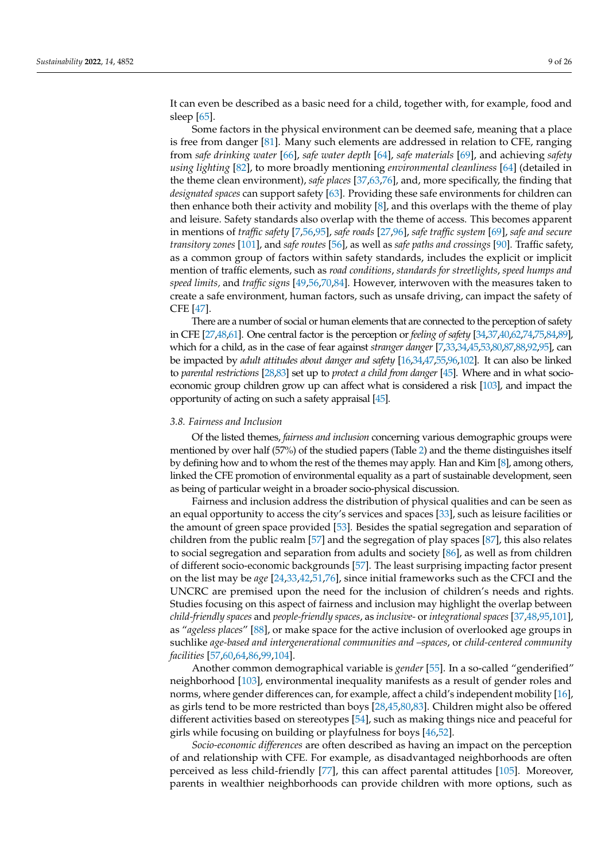It can even be described as a basic need for a child, together with, for example, food and sleep [\[65\]](#page-24-4).

Some factors in the physical environment can be deemed safe, meaning that a place is free from danger [\[81\]](#page-24-21). Many such elements are addressed in relation to CFE, ranging from *safe drinking water* [\[66\]](#page-24-5), *safe water depth* [\[64\]](#page-24-26), *safe materials* [\[69\]](#page-24-8), and achieving *safety using lighting* [\[82\]](#page-24-22), to more broadly mentioning *environmental cleanliness* [\[64\]](#page-24-26) (detailed in the theme clean environment), *safe places* [\[37](#page-23-10)[,63](#page-24-23)[,76\]](#page-24-16), and, more specifically, the finding that *designated spaces* can support safety [\[63\]](#page-24-23). Providing these safe environments for children can then enhance both their activity and mobility [\[8\]](#page-22-6), and this overlaps with the theme of play and leisure. Safety standards also overlap with the theme of access. This becomes apparent in mentions of *traffic safety* [\[7,](#page-22-5)[56,](#page-23-25)[95\]](#page-25-9), *safe roads* [\[27](#page-23-2)[,96\]](#page-25-10), *safe traffic system* [\[69\]](#page-24-8), *safe and secure transitory zones* [\[101\]](#page-25-13), and *safe routes* [\[56\]](#page-23-25), as well as *safe paths and crossings* [\[90\]](#page-25-4). Traffic safety, as a common group of factors within safety standards, includes the explicit or implicit mention of traffic elements, such as *road conditions*, *standards for streetlights*, *speed humps and speed limits,* and *traffic signs* [\[49](#page-23-20)[,56,](#page-23-25)[70,](#page-24-9)[84\]](#page-24-25). However, interwoven with the measures taken to create a safe environment, human factors, such as unsafe driving, can impact the safety of CFE [\[47\]](#page-23-28).

There are a number of social or human elements that are connected to the perception of safety in CFE [\[27](#page-23-2)[,48,](#page-23-19)[61\]](#page-24-3). One central factor is the perception or *feeling of safety* [\[34](#page-23-29)[,37](#page-23-10)[,40,](#page-23-13)[62,](#page-24-10)[74,](#page-24-14)[75](#page-24-15)[,84,](#page-24-25)[89\]](#page-25-3), which for a child, as in the case of fear against *stranger danger* [\[7,](#page-22-5)[33](#page-23-24)[,34,](#page-23-29)[45](#page-23-18)[,53](#page-23-31)[,80,](#page-24-20)[87](#page-25-1)[,88,](#page-25-2)[92](#page-25-6)[,95\]](#page-25-9), can be impacted by *adult attitudes about danger and safety* [\[16,](#page-22-12)[34](#page-23-29)[,47](#page-23-28)[,55,](#page-23-23)[96,](#page-25-10)[102\]](#page-25-14). It can also be linked to *parental restrictions* [\[28](#page-23-3)[,83\]](#page-24-24) set up to *protect a child from danger* [\[45\]](#page-23-18). Where and in what socioeconomic group children grow up can affect what is considered a risk [\[103\]](#page-25-15), and impact the opportunity of acting on such a safety appraisal [\[45\]](#page-23-18).

#### *3.8. Fairness and Inclusion*

Of the listed themes, *fairness and inclusion* concerning various demographic groups were mentioned by over half (57%) of the studied papers (Table [2\)](#page-9-0) and the theme distinguishes itself by defining how and to whom the rest of the themes may apply. Han and Kim [\[8\]](#page-22-6), among others, linked the CFE promotion of environmental equality as a part of sustainable development, seen as being of particular weight in a broader socio-physical discussion.

Fairness and inclusion address the distribution of physical qualities and can be seen as an equal opportunity to access the city's services and spaces [\[33\]](#page-23-24), such as leisure facilities or the amount of green space provided [\[53\]](#page-23-31). Besides the spatial segregation and separation of children from the public realm [\[57\]](#page-24-28) and the segregation of play spaces [\[87\]](#page-25-1), this also relates to social segregation and separation from adults and society [\[86\]](#page-25-0), as well as from children of different socio-economic backgrounds [\[57\]](#page-24-28). The least surprising impacting factor present on the list may be *age* [\[24,](#page-22-20)[33,](#page-23-24)[42,](#page-23-15)[51,](#page-23-21)[76\]](#page-24-16), since initial frameworks such as the CFCI and the UNCRC are premised upon the need for the inclusion of children's needs and rights. Studies focusing on this aspect of fairness and inclusion may highlight the overlap between *child-friendly spaces* and *people-friendly spaces*, as *inclusive-* or *integrational spaces* [\[37,](#page-23-10)[48](#page-23-19)[,95](#page-25-9)[,101\]](#page-25-13), as "*ageless places*" [\[88\]](#page-25-2), or make space for the active inclusion of overlooked age groups in suchlike *age-based and intergenerational communities and –spaces*, or *child-centered community facilities* [\[57,](#page-24-28)[60,](#page-24-2)[64](#page-24-26)[,86](#page-25-0)[,99](#page-25-16)[,104\]](#page-25-17).

Another common demographical variable is *gender* [\[55\]](#page-23-23). In a so-called "genderified" neighborhood [\[103\]](#page-25-15), environmental inequality manifests as a result of gender roles and norms, where gender differences can, for example, affect a child's independent mobility [\[16\]](#page-22-12), as girls tend to be more restricted than boys [\[28,](#page-23-3)[45,](#page-23-18)[80,](#page-24-20)[83\]](#page-24-24). Children might also be offered different activities based on stereotypes [\[54\]](#page-23-26), such as making things nice and peaceful for girls while focusing on building or playfulness for boys [\[46,](#page-23-27)[52\]](#page-23-22).

*Socio-economic differences* are often described as having an impact on the perception of and relationship with CFE. For example, as disadvantaged neighborhoods are often perceived as less child-friendly [\[77\]](#page-24-17), this can affect parental attitudes [\[105\]](#page-25-18). Moreover, parents in wealthier neighborhoods can provide children with more options, such as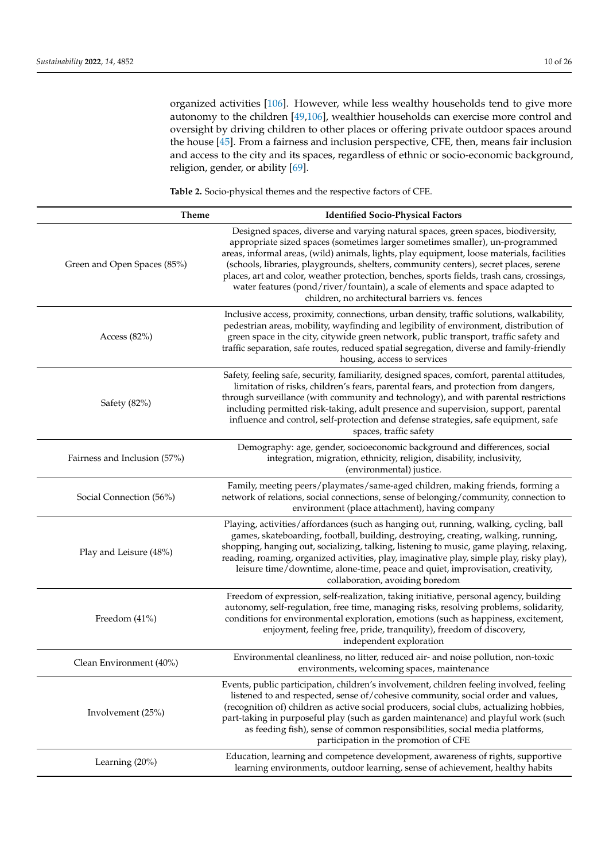organized activities [\[106\]](#page-25-19). However, while less wealthy households tend to give more autonomy to the children [\[49](#page-23-20)[,106\]](#page-25-19), wealthier households can exercise more control and oversight by driving children to other places or offering private outdoor spaces around the house [\[45\]](#page-23-18). From a fairness and inclusion perspective, CFE, then, means fair inclusion and access to the city and its spaces, regardless of ethnic or socio-economic background, religion, gender, or ability [\[69\]](#page-24-8).

<span id="page-9-0"></span>**Table 2.** Socio-physical themes and the respective factors of CFE.

| <b>Theme</b>                 | <b>Identified Socio-Physical Factors</b>                                                                                                                                                                                                                                                                                                                                                                                                                                                                                                                                                 |
|------------------------------|------------------------------------------------------------------------------------------------------------------------------------------------------------------------------------------------------------------------------------------------------------------------------------------------------------------------------------------------------------------------------------------------------------------------------------------------------------------------------------------------------------------------------------------------------------------------------------------|
| Green and Open Spaces (85%)  | Designed spaces, diverse and varying natural spaces, green spaces, biodiversity,<br>appropriate sized spaces (sometimes larger sometimes smaller), un-programmed<br>areas, informal areas, (wild) animals, lights, play equipment, loose materials, facilities<br>(schools, libraries, playgrounds, shelters, community centers), secret places, serene<br>places, art and color, weather protection, benches, sports fields, trash cans, crossings,<br>water features (pond/river/fountain), a scale of elements and space adapted to<br>children, no architectural barriers vs. fences |
| Access $(82\%)$              | Inclusive access, proximity, connections, urban density, traffic solutions, walkability,<br>pedestrian areas, mobility, wayfinding and legibility of environment, distribution of<br>green space in the city, citywide green network, public transport, traffic safety and<br>traffic separation, safe routes, reduced spatial segregation, diverse and family-friendly<br>housing, access to services                                                                                                                                                                                   |
| Safety (82%)                 | Safety, feeling safe, security, familiarity, designed spaces, comfort, parental attitudes,<br>limitation of risks, children's fears, parental fears, and protection from dangers,<br>through surveillance (with community and technology), and with parental restrictions<br>including permitted risk-taking, adult presence and supervision, support, parental<br>influence and control, self-protection and defense strategies, safe equipment, safe<br>spaces, traffic safety                                                                                                         |
| Fairness and Inclusion (57%) | Demography: age, gender, socioeconomic background and differences, social<br>integration, migration, ethnicity, religion, disability, inclusivity,<br>(environmental) justice.                                                                                                                                                                                                                                                                                                                                                                                                           |
| Social Connection (56%)      | Family, meeting peers/playmates/same-aged children, making friends, forming a<br>network of relations, social connections, sense of belonging/community, connection to<br>environment (place attachment), having company                                                                                                                                                                                                                                                                                                                                                                 |
| Play and Leisure (48%)       | Playing, activities/affordances (such as hanging out, running, walking, cycling, ball<br>games, skateboarding, football, building, destroying, creating, walking, running,<br>shopping, hanging out, socializing, talking, listening to music, game playing, relaxing,<br>reading, roaming, organized activities, play, imaginative play, simple play, risky play),<br>leisure time/downtime, alone-time, peace and quiet, improvisation, creativity,<br>collaboration, avoiding boredom                                                                                                 |
| Freedom (41%)                | Freedom of expression, self-realization, taking initiative, personal agency, building<br>autonomy, self-regulation, free time, managing risks, resolving problems, solidarity,<br>conditions for environmental exploration, emotions (such as happiness, excitement,<br>enjoyment, feeling free, pride, tranquility), freedom of discovery,<br>independent exploration                                                                                                                                                                                                                   |
| Clean Environment (40%)      | Environmental cleanliness, no litter, reduced air- and noise pollution, non-toxic<br>environments, welcoming spaces, maintenance                                                                                                                                                                                                                                                                                                                                                                                                                                                         |
| Involvement (25%)            | Events, public participation, children's involvement, children feeling involved, feeling<br>listened to and respected, sense of/cohesive community, social order and values,<br>(recognition of) children as active social producers, social clubs, actualizing hobbies,<br>part-taking in purposeful play (such as garden maintenance) and playful work (such<br>as feeding fish), sense of common responsibilities, social media platforms,<br>participation in the promotion of CFE                                                                                                   |
| Learning (20%)               | Education, learning and competence development, awareness of rights, supportive<br>learning environments, outdoor learning, sense of achievement, healthy habits                                                                                                                                                                                                                                                                                                                                                                                                                         |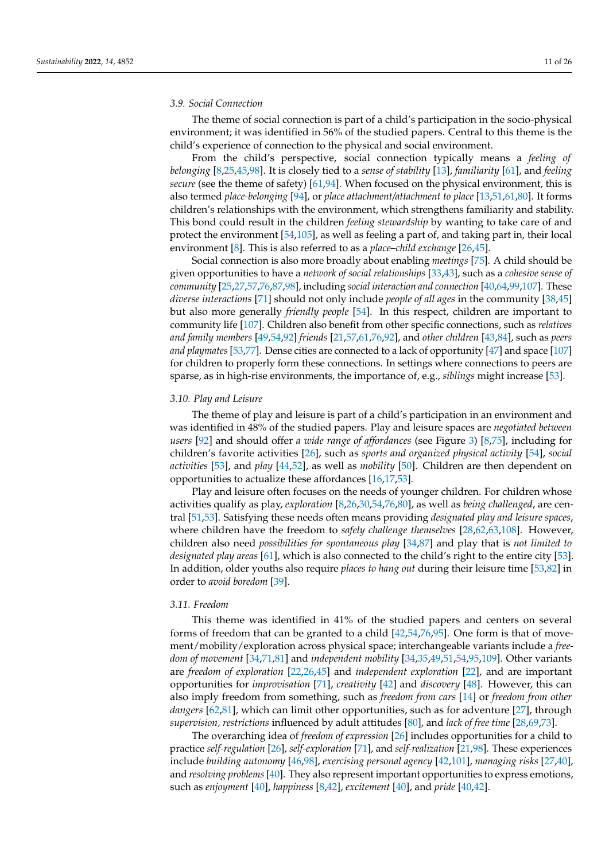#### *3.9. Social Connection*

The theme of social connection is part of a child's participation in the socio-physical environment; it was identified in 56% of the studied papers. Central to this theme is the child's experience of connection to the physical and social environment.

From the child's perspective, social connection typically means a *feeling of belonging* [\[8,](#page-22-6)[25,](#page-23-0)[45,](#page-23-18)[98\]](#page-25-20). It is closely tied to a *sense of stability* [\[13\]](#page-22-21), *familiarity* [\[61\]](#page-24-3), and *feeling secure* (see the theme of safety) [\[61](#page-24-3)[,94\]](#page-25-8). When focused on the physical environment, this is also termed *place-belonging* [\[94\]](#page-25-8), or *place attachment/attachment to place* [\[13](#page-22-21)[,51](#page-23-21)[,61,](#page-24-3)[80\]](#page-24-20). It forms children's relationships with the environment, which strengthens familiarity and stability. This bond could result in the children *feeling stewardship* by wanting to take care of and protect the environment [\[54,](#page-23-26)[105\]](#page-25-18), as well as feeling a part of, and taking part in, their local environment [\[8\]](#page-22-6). This is also referred to as a *place–child exchange* [\[26,](#page-23-1)[45\]](#page-23-18).

Social connection is also more broadly about enabling *meetings* [\[75\]](#page-24-15). A child should be given opportunities to have a *network of social relationships* [\[33,](#page-23-24)[43\]](#page-23-16), such as a *cohesive sense of community* [\[25,](#page-23-0)[27,](#page-23-2)[57,](#page-24-28)[76](#page-24-16)[,87](#page-25-1)[,98\]](#page-25-20), including *social interaction and connection* [\[40](#page-23-13)[,64,](#page-24-26)[99,](#page-25-16)[107\]](#page-25-21). These *diverse interactions* [\[71\]](#page-24-11) should not only include *people of all ages* in the community [\[38](#page-23-11)[,45\]](#page-23-18) but also more generally *friendly people* [\[54\]](#page-23-26). In this respect, children are important to community life [\[107\]](#page-25-21). Children also benefit from other specific connections, such as *relatives and family members* [\[49](#page-23-20)[,54,](#page-23-26)[92\]](#page-25-6) *friends* [\[21,](#page-22-17)[57,](#page-24-28)[61](#page-24-3)[,76](#page-24-16)[,92\]](#page-25-6), and *other children* [\[43](#page-23-16)[,84\]](#page-24-25), such as *peers and playmates* [\[53](#page-23-31)[,77\]](#page-24-17). Dense cities are connected to a lack of opportunity [\[47\]](#page-23-28) and space [\[107\]](#page-25-21) for children to properly form these connections. In settings where connections to peers are sparse, as in high-rise environments, the importance of, e.g., *siblings* might increase [\[53\]](#page-23-31).

#### *3.10. Play and Leisure*

The theme of play and leisure is part of a child's participation in an environment and was identified in 48% of the studied papers. Play and leisure spaces are *negotiated between users* [\[92\]](#page-25-6) and should offer *a wide range of affordances* (see Figure [3\)](#page-5-0) [\[8](#page-22-6)[,75\]](#page-24-15), including for children's favorite activities [\[26\]](#page-23-1), such as *sports and organized physical activity* [\[54\]](#page-23-26), *social activities* [\[53\]](#page-23-31), and *play* [\[44,](#page-23-17)[52\]](#page-23-22), as well as *mobility* [\[50\]](#page-23-30). Children are then dependent on opportunities to actualize these affordances [\[16,](#page-22-12)[17,](#page-22-13)[53\]](#page-23-31).

Play and leisure often focuses on the needs of younger children. For children whose activities qualify as play, *exploration* [\[8](#page-22-6)[,26](#page-23-1)[,30](#page-23-5)[,54](#page-23-26)[,76](#page-24-16)[,80\]](#page-24-20), as well as *being challenged*, are central [\[51](#page-23-21)[,53\]](#page-23-31). Satisfying these needs often means providing *designated play and leisure spaces*, where children have the freedom to *safely challenge themselves* [\[28,](#page-23-3)[62,](#page-24-10)[63,](#page-24-23)[108\]](#page-25-22). However, children also need *possibilities for spontaneous play* [\[34,](#page-23-29)[87\]](#page-25-1) and play that is *not limited to designated play areas* [\[61\]](#page-24-3), which is also connected to the child's right to the entire city [\[53\]](#page-23-31). In addition, older youths also require *places to hang out* during their leisure time [\[53](#page-23-31)[,82\]](#page-24-22) in order to *avoid boredom* [\[39\]](#page-23-12).

#### *3.11. Freedom*

This theme was identified in 41% of the studied papers and centers on several forms of freedom that can be granted to a child  $[42,54,76,95]$  $[42,54,76,95]$  $[42,54,76,95]$  $[42,54,76,95]$ . One form is that of movement/mobility/exploration across physical space; interchangeable variants include a *freedom of movement* [\[34,](#page-23-29)[71](#page-24-11)[,81\]](#page-24-21) and *independent mobility* [\[34,](#page-23-29)[35](#page-23-8)[,49](#page-23-20)[,51](#page-23-21)[,54](#page-23-26)[,95](#page-25-9)[,109\]](#page-25-23). Other variants are *freedom of exploration* [\[22](#page-22-18)[,26,](#page-23-1)[45\]](#page-23-18) and *independent exploration* [\[22\]](#page-22-18), and are important opportunities for *improvisation* [\[71\]](#page-24-11), *creativity* [\[42\]](#page-23-15) and *discovery* [\[48\]](#page-23-19). However, this can also imply freedom from something, such as *freedom from cars* [\[14\]](#page-22-22) or *freedom from other dangers* [\[62,](#page-24-10)[81\]](#page-24-21), which can limit other opportunities, such as for adventure [\[27\]](#page-23-2), through *supervision, restrictions* influenced by adult attitudes [\[80\]](#page-24-20), and *lack of free time* [\[28](#page-23-3)[,69,](#page-24-8)[73\]](#page-24-13).

The overarching idea of *freedom of expression* [\[26\]](#page-23-1) includes opportunities for a child to practice *self-regulation* [\[26\]](#page-23-1), *self-exploration* [\[71\]](#page-24-11), and *self-realization* [\[21](#page-22-17)[,98\]](#page-25-20). These experiences include *building autonomy* [\[46](#page-23-27)[,98\]](#page-25-20), *exercising personal agency* [\[42](#page-23-15)[,101\]](#page-25-13), *managing risks* [\[27,](#page-23-2)[40\]](#page-23-13), and *resolving problems* [\[40\]](#page-23-13). They also represent important opportunities to express emotions, such as *enjoyment* [\[40\]](#page-23-13), *happiness* [\[8](#page-22-6)[,42\]](#page-23-15), *excitement* [\[40\]](#page-23-13), and *pride* [\[40,](#page-23-13)[42\]](#page-23-15).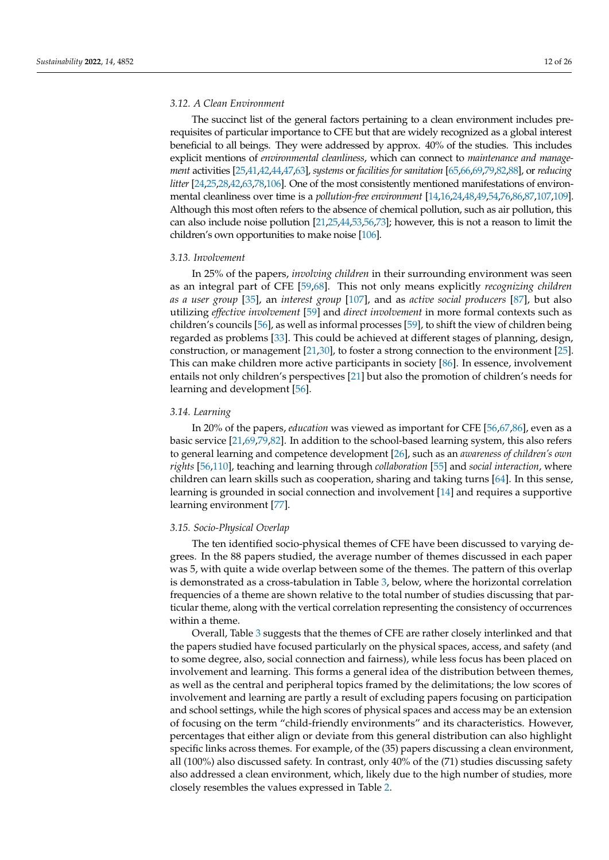#### *3.12. A Clean Environment*

The succinct list of the general factors pertaining to a clean environment includes prerequisites of particular importance to CFE but that are widely recognized as a global interest beneficial to all beings. They were addressed by approx. 40% of the studies. This includes explicit mentions of *environmental cleanliness*, which can connect to *maintenance and management* activities [\[25](#page-23-0)[,41,](#page-23-14)[42,](#page-23-15)[44](#page-23-17)[,47,](#page-23-28)[63\]](#page-24-23), *systems* or *facilities for sanitation* [\[65,](#page-24-4)[66](#page-24-5)[,69,](#page-24-8)[79](#page-24-19)[,82](#page-24-22)[,88\]](#page-25-2), or *reducing litter* [\[24,](#page-22-20)[25,](#page-23-0)[28](#page-23-3)[,42](#page-23-15)[,63,](#page-24-23)[78,](#page-24-18)[106\]](#page-25-19). One of the most consistently mentioned manifestations of environmental cleanliness over time is a *pollution-free environment* [\[14](#page-22-22)[,16,](#page-22-12)[24](#page-22-20)[,48,](#page-23-19)[49](#page-23-20)[,54,](#page-23-26)[76](#page-24-16)[,86,](#page-25-0)[87,](#page-25-1)[107](#page-25-21)[,109\]](#page-25-23). Although this most often refers to the absence of chemical pollution, such as air pollution, this can also include noise pollution [\[21,](#page-22-17)[25,](#page-23-0)[44](#page-23-17)[,53,](#page-23-31)[56,](#page-23-25)[73\]](#page-24-13); however, this is not a reason to limit the children's own opportunities to make noise [\[106\]](#page-25-19).

#### *3.13. Involvement*

In 25% of the papers, *involving children* in their surrounding environment was seen as an integral part of CFE [\[59](#page-24-1)[,68\]](#page-24-7). This not only means explicitly *recognizing children as a user group* [\[35\]](#page-23-8), an *interest group* [\[107\]](#page-25-21), and as *active social producers* [\[87\]](#page-25-1), but also utilizing *effective involvement* [\[59\]](#page-24-1) and *direct involvement* in more formal contexts such as children's councils [\[56\]](#page-23-25), as well as informal processes [\[59\]](#page-24-1), to shift the view of children being regarded as problems [\[33\]](#page-23-24). This could be achieved at different stages of planning, design, construction, or management [\[21](#page-22-17)[,30\]](#page-23-5), to foster a strong connection to the environment [\[25\]](#page-23-0). This can make children more active participants in society [\[86\]](#page-25-0). In essence, involvement entails not only children's perspectives [\[21\]](#page-22-17) but also the promotion of children's needs for learning and development [\[56\]](#page-23-25).

#### <span id="page-11-0"></span>*3.14. Learning*

In 20% of the papers, *education* was viewed as important for CFE [\[56,](#page-23-25)[67,](#page-24-6)[86\]](#page-25-0), even as a basic service [\[21,](#page-22-17)[69,](#page-24-8)[79](#page-24-19)[,82\]](#page-24-22). In addition to the school-based learning system, this also refers to general learning and competence development [\[26\]](#page-23-1), such as an *awareness of children's own rights* [\[56,](#page-23-25)[110\]](#page-25-24), teaching and learning through *collaboration* [\[55\]](#page-23-23) and *social interaction*, where children can learn skills such as cooperation, sharing and taking turns [\[64\]](#page-24-26). In this sense, learning is grounded in social connection and involvement [\[14\]](#page-22-22) and requires a supportive learning environment [\[77\]](#page-24-17).

#### *3.15. Socio-Physical Overlap*

The ten identified socio-physical themes of CFE have been discussed to varying degrees. In the 88 papers studied, the average number of themes discussed in each paper was 5, with quite a wide overlap between some of the themes. The pattern of this overlap is demonstrated as a cross-tabulation in Table [3,](#page-12-0) below, where the horizontal correlation frequencies of a theme are shown relative to the total number of studies discussing that particular theme, along with the vertical correlation representing the consistency of occurrences within a theme.

Overall, Table [3](#page-12-0) suggests that the themes of CFE are rather closely interlinked and that the papers studied have focused particularly on the physical spaces, access, and safety (and to some degree, also, social connection and fairness), while less focus has been placed on involvement and learning. This forms a general idea of the distribution between themes, as well as the central and peripheral topics framed by the delimitations; the low scores of involvement and learning are partly a result of excluding papers focusing on participation and school settings, while the high scores of physical spaces and access may be an extension of focusing on the term "child-friendly environments" and its characteristics. However, percentages that either align or deviate from this general distribution can also highlight specific links across themes. For example, of the (35) papers discussing a clean environment, all (100%) also discussed safety. In contrast, only 40% of the (71) studies discussing safety also addressed a clean environment, which, likely due to the high number of studies, more closely resembles the values expressed in Table [2.](#page-9-0)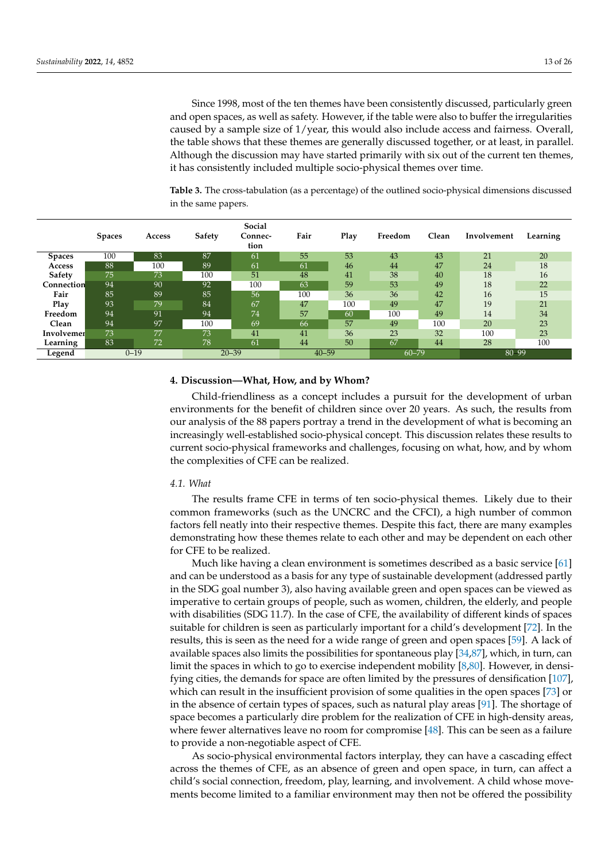Since 1998, most of the ten themes have been consistently discussed, particularly green and open spaces, as well as safety. However, if the table were also to buffer the irregularities caused by a sample size of 1/year, this would also include access and fairness. Overall, the table shows that these themes are generally discussed together, or at least, in parallel. Although the discussion may have started primarily with six out of the current ten themes, it has consistently included multiple socio-physical themes over time.

<span id="page-12-0"></span>**Table 3.** The cross-tabulation (as a percentage) of the outlined socio-physical dimensions discussed in the same papers.

|                   | <b>Spaces</b> | Access          | Safety | Social<br>Connec-<br>tion | Fair      | Play | Freedom   | Clean | Involvement | Learning |
|-------------------|---------------|-----------------|--------|---------------------------|-----------|------|-----------|-------|-------------|----------|
| <b>Spaces</b>     | 100           | 83              | 87     | 61                        | 55        | 53   | 43        | 43    | 21          | 20       |
| Access            | 88            | 100             | 89     | 61                        | 61        | 46   | 44        | 47    | 24          | 18       |
| <b>Safety</b>     | 75            | 73              | 100    | 51                        | 48        | 41   | 38        | 40    | 18          | 16       |
| <b>Connection</b> | 94            | 90              | 92     | 100                       | 63        | 59   | 53        | 49    | 18          | 22       |
| Fair              | 85            | 89              | 85     | 56                        | 100       | 36   | 36        | 42    | 16          | 15       |
| Play              | 93            | 79              | 84     | 67                        | 47        | 100  | 49        | 47    | 19          | 21       |
| Freedom           | 94            | 91              | 94     | 74                        | 57        | 60   | 100       | 49    | 14          | 34       |
| Clean             | 94            | 97              | 100    | 69                        | 66        | 57   | 49        | 100   | 20          | 23       |
| Involvemer        | 73            | 77              | 73     | 41                        | 41        | 36   | 23        | 32    | 100         | 23       |
| Learning          | 83            | 72 <sup>1</sup> | 78     | 61                        | 44        | 50   | 67        | 44    | 28          | 100      |
| Legend            |               | $0 - 19$        |        | $20 - 39$                 | $40 - 59$ |      | $60 - 79$ |       | 80 99       |          |

#### **4. Discussion—What, How, and by Whom?**

Child-friendliness as a concept includes a pursuit for the development of urban environments for the benefit of children since over 20 years. As such, the results from our analysis of the 88 papers portray a trend in the development of what is becoming an increasingly well-established socio-physical concept. This discussion relates these results to current socio-physical frameworks and challenges, focusing on what, how, and by whom the complexities of CFE can be realized.

#### *4.1. What*

The results frame CFE in terms of ten socio-physical themes. Likely due to their common frameworks (such as the UNCRC and the CFCI), a high number of common factors fell neatly into their respective themes. Despite this fact, there are many examples demonstrating how these themes relate to each other and may be dependent on each other for CFE to be realized.

Much like having a clean environment is sometimes described as a basic service [\[61\]](#page-24-3) and can be understood as a basis for any type of sustainable development (addressed partly in the SDG goal number 3), also having available green and open spaces can be viewed as imperative to certain groups of people, such as women, children, the elderly, and people with disabilities (SDG 11.7). In the case of CFE, the availability of different kinds of spaces suitable for children is seen as particularly important for a child's development [\[72\]](#page-24-12). In the results, this is seen as the need for a wide range of green and open spaces [\[59\]](#page-24-1). A lack of available spaces also limits the possibilities for spontaneous play  $[34,87]$  $[34,87]$ , which, in turn, can limit the spaces in which to go to exercise independent mobility [\[8](#page-22-6)[,80\]](#page-24-20). However, in densifying cities, the demands for space are often limited by the pressures of densification [\[107\]](#page-25-21), which can result in the insufficient provision of some qualities in the open spaces [\[73\]](#page-24-13) or in the absence of certain types of spaces, such as natural play areas [\[91\]](#page-25-5). The shortage of space becomes a particularly dire problem for the realization of CFE in high-density areas, where fewer alternatives leave no room for compromise [\[48\]](#page-23-19). This can be seen as a failure to provide a non-negotiable aspect of CFE.

As socio-physical environmental factors interplay, they can have a cascading effect across the themes of CFE, as an absence of green and open space, in turn, can affect a child's social connection, freedom, play, learning, and involvement. A child whose movements become limited to a familiar environment may then not be offered the possibility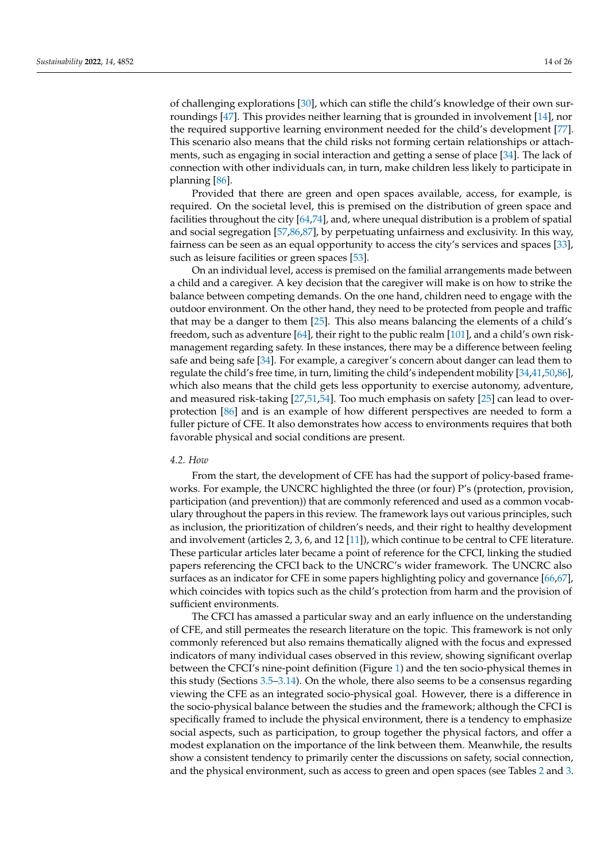of challenging explorations [\[30\]](#page-23-5), which can stifle the child's knowledge of their own surroundings [\[47\]](#page-23-28). This provides neither learning that is grounded in involvement [\[14\]](#page-22-22), nor the required supportive learning environment needed for the child's development [\[77\]](#page-24-17). This scenario also means that the child risks not forming certain relationships or attachments, such as engaging in social interaction and getting a sense of place [\[34\]](#page-23-29). The lack of connection with other individuals can, in turn, make children less likely to participate in planning [\[86\]](#page-25-0).

Provided that there are green and open spaces available, access, for example, is required. On the societal level, this is premised on the distribution of green space and facilities throughout the city [\[64](#page-24-26)[,74\]](#page-24-14), and, where unequal distribution is a problem of spatial and social segregation [\[57](#page-24-28)[,86](#page-25-0)[,87\]](#page-25-1), by perpetuating unfairness and exclusivity. In this way, fairness can be seen as an equal opportunity to access the city's services and spaces [\[33\]](#page-23-24), such as leisure facilities or green spaces [\[53\]](#page-23-31).

On an individual level, access is premised on the familial arrangements made between a child and a caregiver. A key decision that the caregiver will make is on how to strike the balance between competing demands. On the one hand, children need to engage with the outdoor environment. On the other hand, they need to be protected from people and traffic that may be a danger to them [\[25\]](#page-23-0). This also means balancing the elements of a child's freedom, such as adventure [\[64\]](#page-24-26), their right to the public realm [\[101\]](#page-25-13), and a child's own riskmanagement regarding safety. In these instances, there may be a difference between feeling safe and being safe [\[34\]](#page-23-29). For example, a caregiver's concern about danger can lead them to regulate the child's free time, in turn, limiting the child's independent mobility [\[34,](#page-23-29)[41](#page-23-14)[,50](#page-23-30)[,86\]](#page-25-0), which also means that the child gets less opportunity to exercise autonomy, adventure, and measured risk-taking [\[27,](#page-23-2)[51](#page-23-21)[,54\]](#page-23-26). Too much emphasis on safety [\[25\]](#page-23-0) can lead to overprotection [\[86\]](#page-25-0) and is an example of how different perspectives are needed to form a fuller picture of CFE. It also demonstrates how access to environments requires that both favorable physical and social conditions are present.

#### *4.2. How*

From the start, the development of CFE has had the support of policy-based frameworks. For example, the UNCRC highlighted the three (or four) P's (protection, provision, participation (and prevention)) that are commonly referenced and used as a common vocabulary throughout the papers in this review. The framework lays out various principles, such as inclusion, the prioritization of children's needs, and their right to healthy development and involvement (articles 2, 3, 6, and 12 [\[11\]](#page-22-9)), which continue to be central to CFE literature. These particular articles later became a point of reference for the CFCI, linking the studied papers referencing the CFCI back to the UNCRC's wider framework. The UNCRC also surfaces as an indicator for CFE in some papers highlighting policy and governance [\[66](#page-24-5)[,67\]](#page-24-6), which coincides with topics such as the child's protection from harm and the provision of sufficient environments.

The CFCI has amassed a particular sway and an early influence on the understanding of CFE, and still permeates the research literature on the topic. This framework is not only commonly referenced but also remains thematically aligned with the focus and expressed indicators of many individual cases observed in this review, showing significant overlap between the CFCI's nine-point definition (Figure [1\)](#page-3-0) and the ten socio-physical themes in this study (Sections [3.5](#page-6-0)[–3.14\)](#page-11-0). On the whole, there also seems to be a consensus regarding viewing the CFE as an integrated socio-physical goal. However, there is a difference in the socio-physical balance between the studies and the framework; although the CFCI is specifically framed to include the physical environment, there is a tendency to emphasize social aspects, such as participation, to group together the physical factors, and offer a modest explanation on the importance of the link between them. Meanwhile, the results show a consistent tendency to primarily center the discussions on safety, social connection, and the physical environment, such as access to green and open spaces (see Tables [2](#page-9-0) and [3.](#page-12-0)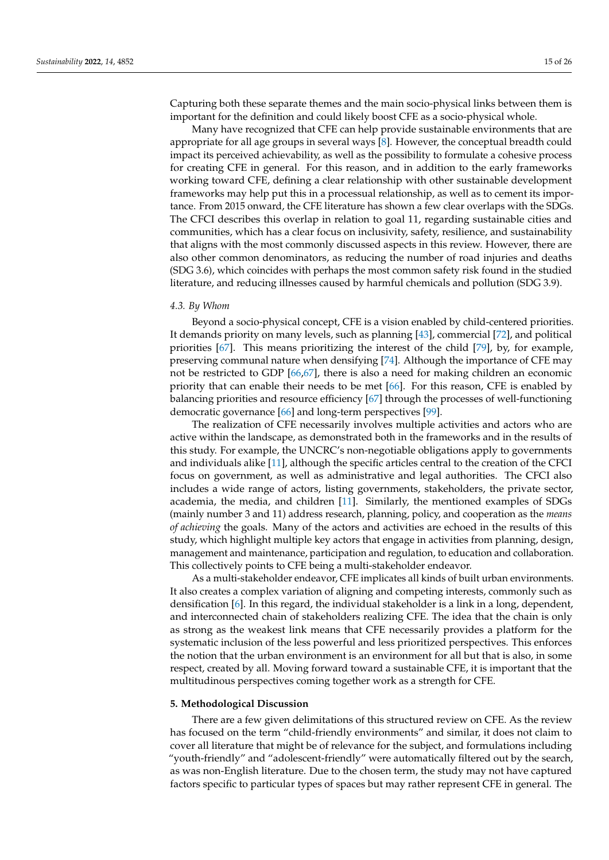Capturing both these separate themes and the main socio-physical links between them is important for the definition and could likely boost CFE as a socio-physical whole.

Many have recognized that CFE can help provide sustainable environments that are appropriate for all age groups in several ways [\[8\]](#page-22-6). However, the conceptual breadth could impact its perceived achievability, as well as the possibility to formulate a cohesive process for creating CFE in general. For this reason, and in addition to the early frameworks working toward CFE, defining a clear relationship with other sustainable development frameworks may help put this in a processual relationship, as well as to cement its importance. From 2015 onward, the CFE literature has shown a few clear overlaps with the SDGs. The CFCI describes this overlap in relation to goal 11, regarding sustainable cities and communities, which has a clear focus on inclusivity, safety, resilience, and sustainability that aligns with the most commonly discussed aspects in this review. However, there are also other common denominators, as reducing the number of road injuries and deaths (SDG 3.6), which coincides with perhaps the most common safety risk found in the studied literature, and reducing illnesses caused by harmful chemicals and pollution (SDG 3.9).

#### *4.3. By Whom*

Beyond a socio-physical concept, CFE is a vision enabled by child-centered priorities. It demands priority on many levels, such as planning [\[43\]](#page-23-16), commercial [\[72\]](#page-24-12), and political priorities [\[67\]](#page-24-6). This means prioritizing the interest of the child [\[79\]](#page-24-19), by, for example, preserving communal nature when densifying [\[74\]](#page-24-14). Although the importance of CFE may not be restricted to GDP [\[66](#page-24-5)[,67\]](#page-24-6), there is also a need for making children an economic priority that can enable their needs to be met [\[66\]](#page-24-5). For this reason, CFE is enabled by balancing priorities and resource efficiency [\[67\]](#page-24-6) through the processes of well-functioning democratic governance [\[66\]](#page-24-5) and long-term perspectives [\[99\]](#page-25-16).

The realization of CFE necessarily involves multiple activities and actors who are active within the landscape, as demonstrated both in the frameworks and in the results of this study. For example, the UNCRC's non-negotiable obligations apply to governments and individuals alike [\[11\]](#page-22-9), although the specific articles central to the creation of the CFCI focus on government, as well as administrative and legal authorities. The CFCI also includes a wide range of actors, listing governments, stakeholders, the private sector, academia, the media, and children [\[11\]](#page-22-9). Similarly, the mentioned examples of SDGs (mainly number 3 and 11) address research, planning, policy, and cooperation as the *means of achieving* the goals. Many of the actors and activities are echoed in the results of this study, which highlight multiple key actors that engage in activities from planning, design, management and maintenance, participation and regulation, to education and collaboration. This collectively points to CFE being a multi-stakeholder endeavor.

As a multi-stakeholder endeavor, CFE implicates all kinds of built urban environments. It also creates a complex variation of aligning and competing interests, commonly such as densification [\[6\]](#page-22-4). In this regard, the individual stakeholder is a link in a long, dependent, and interconnected chain of stakeholders realizing CFE. The idea that the chain is only as strong as the weakest link means that CFE necessarily provides a platform for the systematic inclusion of the less powerful and less prioritized perspectives. This enforces the notion that the urban environment is an environment for all but that is also, in some respect, created by all. Moving forward toward a sustainable CFE, it is important that the multitudinous perspectives coming together work as a strength for CFE.

#### **5. Methodological Discussion**

There are a few given delimitations of this structured review on CFE. As the review has focused on the term "child-friendly environments" and similar, it does not claim to cover all literature that might be of relevance for the subject, and formulations including "youth-friendly" and "adolescent-friendly" were automatically filtered out by the search, as was non-English literature. Due to the chosen term, the study may not have captured factors specific to particular types of spaces but may rather represent CFE in general. The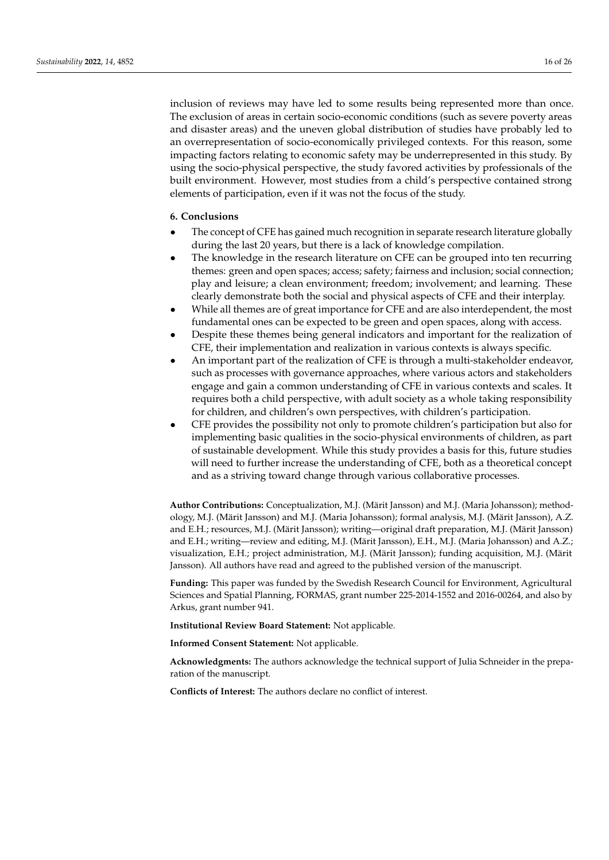inclusion of reviews may have led to some results being represented more than once. The exclusion of areas in certain socio-economic conditions (such as severe poverty areas and disaster areas) and the uneven global distribution of studies have probably led to an overrepresentation of socio-economically privileged contexts. For this reason, some impacting factors relating to economic safety may be underrepresented in this study. By using the socio-physical perspective, the study favored activities by professionals of the built environment. However, most studies from a child's perspective contained strong elements of participation, even if it was not the focus of the study.

#### **6. Conclusions**

- The concept of CFE has gained much recognition in separate research literature globally during the last 20 years, but there is a lack of knowledge compilation.
- The knowledge in the research literature on CFE can be grouped into ten recurring themes: green and open spaces; access; safety; fairness and inclusion; social connection; play and leisure; a clean environment; freedom; involvement; and learning. These clearly demonstrate both the social and physical aspects of CFE and their interplay.
- While all themes are of great importance for CFE and are also interdependent, the most fundamental ones can be expected to be green and open spaces, along with access.
- Despite these themes being general indicators and important for the realization of CFE, their implementation and realization in various contexts is always specific.
- An important part of the realization of CFE is through a multi-stakeholder endeavor, such as processes with governance approaches, where various actors and stakeholders engage and gain a common understanding of CFE in various contexts and scales. It requires both a child perspective, with adult society as a whole taking responsibility for children, and children's own perspectives, with children's participation.
- CFE provides the possibility not only to promote children's participation but also for implementing basic qualities in the socio-physical environments of children, as part of sustainable development. While this study provides a basis for this, future studies will need to further increase the understanding of CFE, both as a theoretical concept and as a striving toward change through various collaborative processes.

**Author Contributions:** Conceptualization, M.J. (Märit Jansson) and M.J. (Maria Johansson); methodology, M.J. (Märit Jansson) and M.J. (Maria Johansson); formal analysis, M.J. (Märit Jansson), A.Z. and E.H.; resources, M.J. (Märit Jansson); writing—original draft preparation, M.J. (Märit Jansson) and E.H.; writing—review and editing, M.J. (Märit Jansson), E.H., M.J. (Maria Johansson) and A.Z.; visualization, E.H.; project administration, M.J. (Märit Jansson); funding acquisition, M.J. (Märit Jansson). All authors have read and agreed to the published version of the manuscript.

**Funding:** This paper was funded by the Swedish Research Council for Environment, Agricultural Sciences and Spatial Planning, FORMAS, grant number 225-2014-1552 and 2016-00264, and also by Arkus, grant number 941.

**Institutional Review Board Statement:** Not applicable.

**Informed Consent Statement:** Not applicable.

**Acknowledgments:** The authors acknowledge the technical support of Julia Schneider in the preparation of the manuscript.

**Conflicts of Interest:** The authors declare no conflict of interest.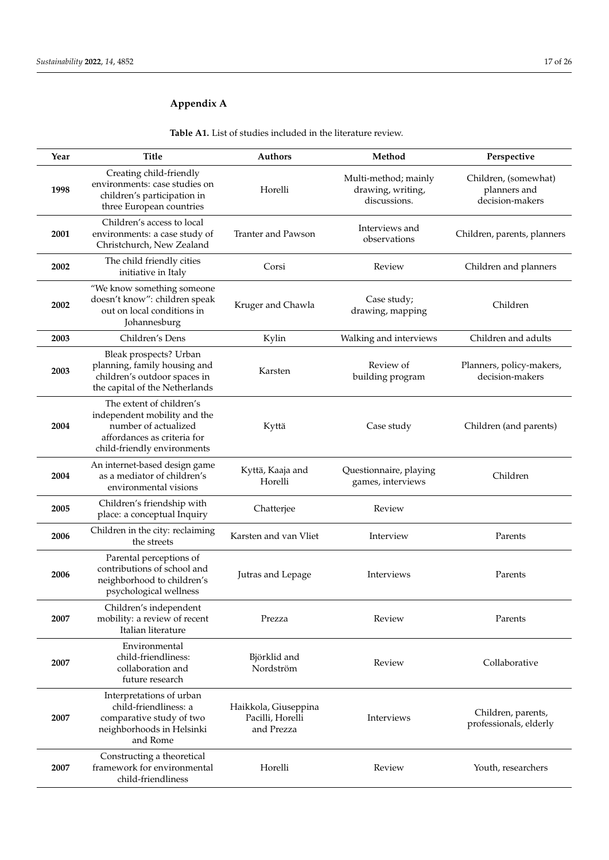## <span id="page-16-0"></span>**Appendix A**

**Year Title Authors Method Perspective 1998** Creating child-friendly environments: case studies on children's participation in three European countries Horelli Multi-method; mainly drawing, writing, discussions. Children, (somewhat) planners and decision-makers **2001** Children's access to local environments: a case study of Christchurch, New Zealand Tranter and Pawson<br>bservations Children, parents, planners **<sup>2002</sup>** The child friendly cities Figure 2 Corsi Corsi Review Children and planners<br>initiative in Italy **2002** "We know something someone doesn't know": children speak out on local conditions in Johannesburg Kruger and Chawla<br>
drawing mann drawing, mapping Children **2003** Children's Dens Kylin Walking and interviews Children and adults **2003** Bleak prospects? Urban planning, family housing and children's outdoor spaces in the capital of the Netherlands Karsten Review of building program Planners, policy-makers, decision-makers **2004** The extent of children's independent mobility and the number of actualized affordances as criteria for child-friendly environments Kyttä Case study Children (and parents) **2004** An internet-based design game as a mediator of children's environmental visions Kyttä, Kaaja and Horelli Questionnaire, playing destionnaire, playing<br>games, interviews **<sup>2005</sup>** Children's friendship with Principle is the place: a conceptual Inquiry Chatterjee Review **<sup>2006</sup>** Children in the city: reclaiming Karsten and van Vliet **Interview** Parents **2006** Parental perceptions of contributions of school and neighborhood to children's psychological wellness Jutras and Lepage Interviews Parents **2007** Children's independent mobility: a review of recent Italian literature Prezza Review Review Parents **2007** Environmental child-friendliness: collaboration and future research Björklid and Nordström Review Collaborative **2007** Interpretations of urban child-friendliness: a comparative study of two neighborhoods in Helsinki and Rome Haikkola, Giuseppina Pacilli, Horelli and Prezza Interviews Children, parents, professionals, elderly **2007** Constructing a theoretical framework for environmental child-friendliness Horelli Review Youth, researchers

**Table A1.** List of studies included in the literature review.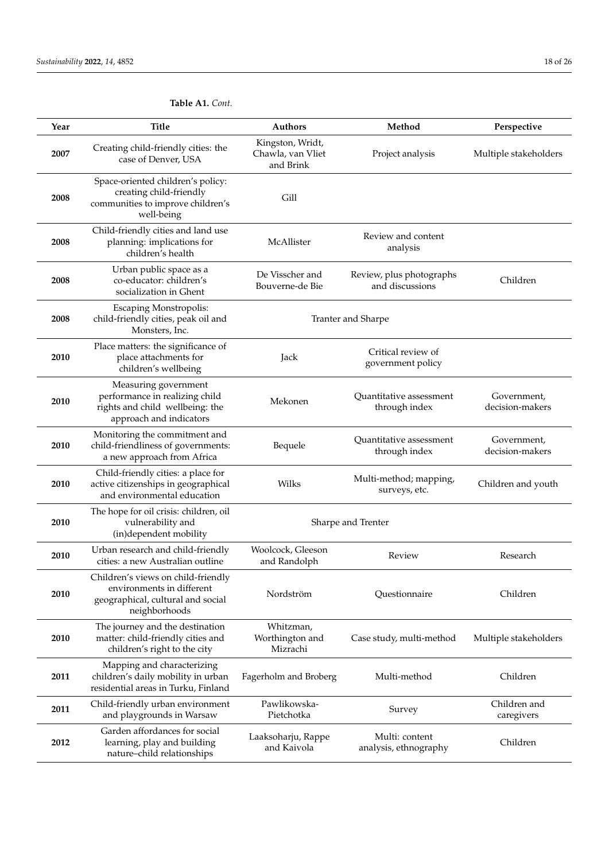| Year | <b>Title</b>                                                                                                          | Authors                                                                           | Method                                   | Perspective                    |
|------|-----------------------------------------------------------------------------------------------------------------------|-----------------------------------------------------------------------------------|------------------------------------------|--------------------------------|
| 2007 | Creating child-friendly cities: the<br>case of Denver, USA                                                            | Kingston, Wridt,<br>Chawla, van Vliet<br>and Brink                                | Project analysis                         |                                |
| 2008 | Space-oriented children's policy:<br>creating child-friendly<br>communities to improve children's<br>well-being       | Gill                                                                              |                                          |                                |
| 2008 | Child-friendly cities and land use<br>planning: implications for<br>children's health                                 | McAllister                                                                        | Review and content<br>analysis           |                                |
| 2008 | Urban public space as a<br>co-educator: children's<br>socialization in Ghent                                          | De Visscher and<br>Review, plus photographs<br>and discussions<br>Bouverne-de Bie |                                          | Children                       |
| 2008 | <b>Escaping Monstropolis:</b><br>child-friendly cities, peak oil and<br>Monsters, Inc.                                |                                                                                   | Tranter and Sharpe                       |                                |
| 2010 | Place matters: the significance of<br>place attachments for<br>children's wellbeing                                   | Jack                                                                              | Critical review of<br>government policy  |                                |
| 2010 | Measuring government<br>performance in realizing child<br>rights and child wellbeing: the<br>approach and indicators  | Mekonen                                                                           | Quantitative assessment<br>through index | Government,<br>decision-makers |
| 2010 | Monitoring the commitment and<br>child-friendliness of governments:<br>a new approach from Africa                     | Bequele                                                                           | Quantitative assessment<br>through index | Government,<br>decision-makers |
| 2010 | Child-friendly cities: a place for<br>active citizenships in geographical<br>and environmental education              | Wilks                                                                             | Multi-method; mapping,<br>surveys, etc.  | Children and youth             |
| 2010 | The hope for oil crisis: children, oil<br>vulnerability and<br>(in)dependent mobility                                 | Sharpe and Trenter                                                                |                                          |                                |
| 2010 | Urban research and child-friendly<br>cities: a new Australian outline                                                 | Woolcock, Gleeson<br>and Randolph                                                 | Review                                   | Research                       |
| 2010 | Children's views on child-friendly<br>environments in different<br>geographical, cultural and social<br>neighborhoods | Nordström                                                                         | Questionnaire                            | Children                       |
| 2010 | The journey and the destination<br>matter: child-friendly cities and<br>children's right to the city                  | Whitzman,<br>Worthington and<br>Mizrachi                                          | Case study, multi-method                 | Multiple stakeholders          |
| 2011 | Mapping and characterizing<br>children's daily mobility in urban<br>residential areas in Turku, Finland               | Fagerholm and Broberg                                                             | Multi-method                             | Children                       |
| 2011 | Child-friendly urban environment<br>and playgrounds in Warsaw                                                         | Pawlikowska-<br>Pietchotka                                                        | Survey                                   | Children and<br>caregivers     |
| 2012 | Garden affordances for social<br>learning, play and building<br>nature-child relationships                            | Laaksoharju, Rappe<br>and Kaivola                                                 | Multi: content<br>analysis, ethnography  | Children                       |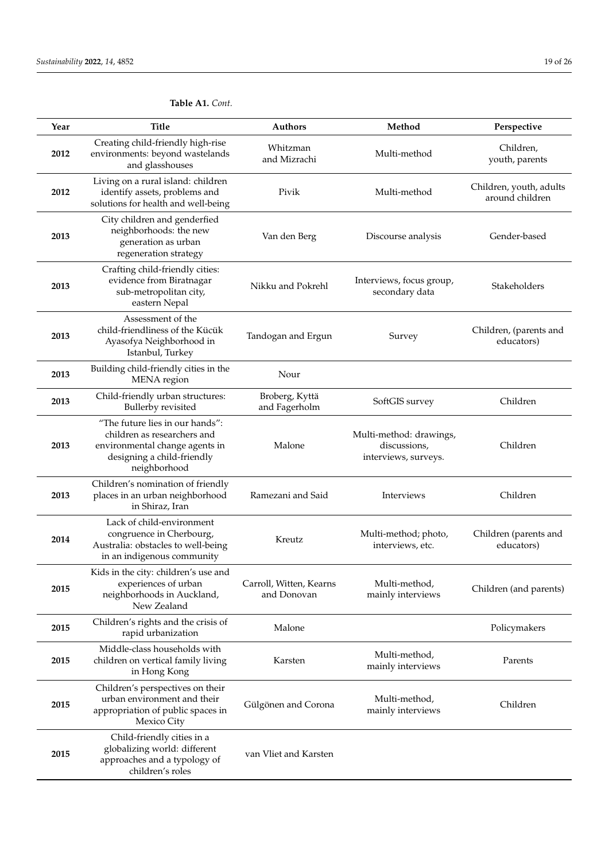| Year | <b>Title</b>                                                                                                                                   | Authors                                | Method                                                          | Perspective                                |
|------|------------------------------------------------------------------------------------------------------------------------------------------------|----------------------------------------|-----------------------------------------------------------------|--------------------------------------------|
| 2012 | Creating child-friendly high-rise<br>environments: beyond wastelands<br>and glasshouses                                                        | Whitzman<br>and Mizrachi               | Multi-method                                                    | Children,<br>youth, parents                |
| 2012 | Living on a rural island: children<br>identify assets, problems and<br>solutions for health and well-being                                     | Pivik                                  | Multi-method                                                    | Children, youth, adults<br>around children |
| 2013 | City children and genderfied<br>neighborhoods: the new<br>generation as urban<br>regeneration strategy                                         | Van den Berg                           | Discourse analysis                                              | Gender-based                               |
| 2013 | Crafting child-friendly cities:<br>evidence from Biratnagar<br>sub-metropolitan city,<br>eastern Nepal                                         | Nikku and Pokrehl                      | Interviews, focus group,<br>secondary data                      | Stakeholders                               |
| 2013 | Assessment of the<br>child-friendliness of the Kücük<br>Ayasofya Neighborhood in<br>Istanbul, Turkey                                           | Tandogan and Ergun                     | Survey                                                          | Children, (parents and<br>educators)       |
| 2013 | Building child-friendly cities in the<br>MENA region                                                                                           | Nour                                   |                                                                 |                                            |
| 2013 | Child-friendly urban structures:<br><b>Bullerby</b> revisited                                                                                  | Broberg, Kyttä<br>and Fagerholm        | SoftGIS survey                                                  | Children                                   |
| 2013 | "The future lies in our hands":<br>children as researchers and<br>environmental change agents in<br>designing a child-friendly<br>neighborhood | Malone                                 | Multi-method: drawings,<br>discussions,<br>interviews, surveys. | Children                                   |
| 2013 | Children's nomination of friendly<br>places in an urban neighborhood<br>in Shiraz, Iran                                                        | Ramezani and Said                      | Interviews                                                      | Children                                   |
| 2014 | Lack of child-environment<br>congruence in Cherbourg,<br>Australia: obstacles to well-being<br>in an indigenous community                      | Kreutz                                 | Multi-method; photo,<br>interviews, etc.                        | Children (parents and<br>educators)        |
| 2015 | Kids in the city: children's use and<br>experiences of urban<br>neighborhoods in Auckland,<br>New Zealand                                      | Carroll, Witten, Kearns<br>and Donovan | Multi-method,<br>mainly interviews                              | Children (and parents)                     |
| 2015 | Children's rights and the crisis of<br>rapid urbanization                                                                                      | Malone                                 |                                                                 | Policymakers                               |
| 2015 | Middle-class households with<br>children on vertical family living<br>in Hong Kong                                                             | Karsten                                | Multi-method,<br>mainly interviews                              | Parents                                    |
| 2015 | Children's perspectives on their<br>urban environment and their<br>appropriation of public spaces in<br>Mexico City                            | Gülgönen and Corona                    | Multi-method,<br>mainly interviews                              | Children                                   |
| 2015 | Child-friendly cities in a<br>globalizing world: different<br>approaches and a typology of<br>children's roles                                 | van Vliet and Karsten                  |                                                                 |                                            |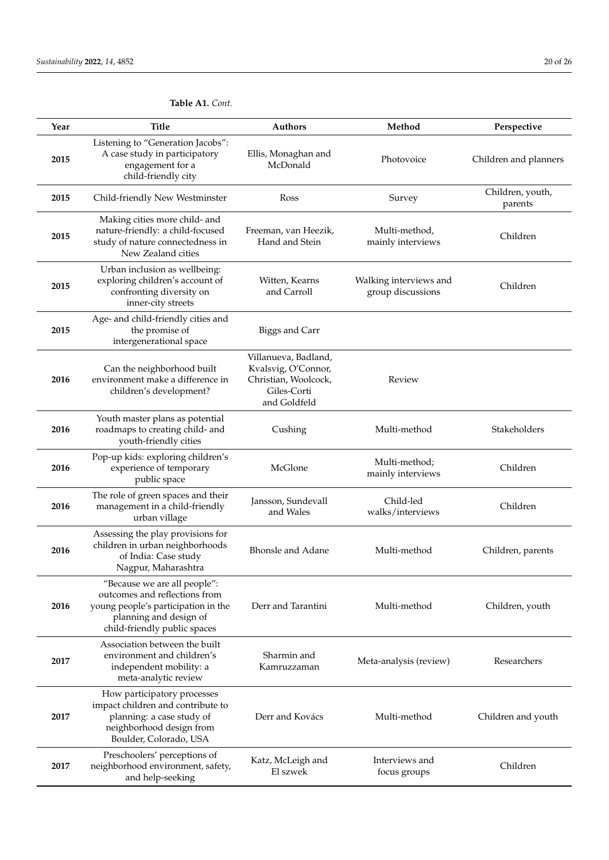**2017**

**2017**

impact children and contribute to planning: a case study of neighborhood design from Boulder, Colorado, USA

Preschoolers' perceptions of neighborhood environment, safety, and help-seeking

#### **Year Title Authors Method Perspective 2015** Listening to "Generation Jacobs": A case study in participatory engagement for a child-friendly city Ellis, Monaghan and McDonald Photovoice Children and planners<br>McDonald **2015** Child-friendly New Westminster Ross Survey Children, youth, parents **2015** Making cities more child- and nature-friendly: a child-focused study of nature connectedness in New Zealand cities Freeman, van Heezik, Hand and Stein Multi-method, mainly interviews Children **2015** Urban inclusion as wellbeing: exploring children's account of confronting diversity on inner-city streets Witten, Kearns and Carroll Walking interviews and group discussions Children **2015** Age- and child-friendly cities and the promise of intergenerational space Biggs and Carr **2016** Can the neighborhood built environment make a difference in children's development? Villanueva, Badland, Kvalsvig, O'Connor, Christian, Woolcock, Giles-Corti and Goldfeld Review **2016** Youth master plans as potential roadmaps to creating child- and youth-friendly cities Cushing Multi-method Stakeholders **2016** Pop-up kids: exploring children's experience of temporary public space McGlone Multi-method; mainly interviews Children **2016** The role of green spaces and their management in a child-friendly urban village Jansson, Sundevall and Wales Child-led walks/interviews Children **2016** Assessing the play provisions for children in urban neighborhoods of India: Case study Nagpur, Maharashtra Bhonsle and Adane Multi-method Children, parents **2016** "Because we are all people": outcomes and reflections from young people's participation in the planning and design of child-friendly public spaces Derr and Tarantini Multi-method Children, youth **2017** Association between the built environment and children's independent mobility: a meta-analytic review Sharmin and Meta-analysis (review) Researchers How participatory processes

Katz, McLeigh and El szwek

Derr and Kovács Multi-method Children and youth

Interviews and

nterviews and<br>focus groups children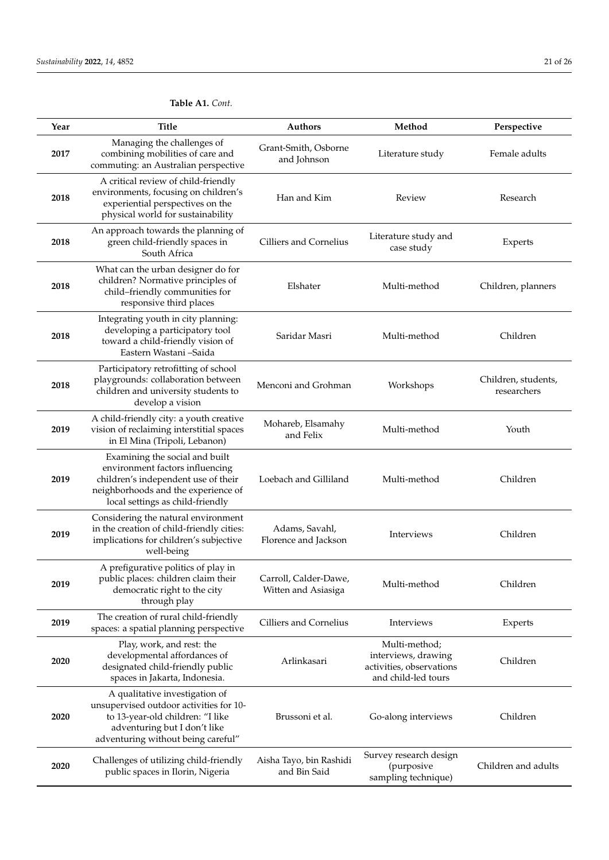| Year | <b>Title</b>                                                                                                                                                                        | Authors                                      | Method                                                                                  | Perspective                        |
|------|-------------------------------------------------------------------------------------------------------------------------------------------------------------------------------------|----------------------------------------------|-----------------------------------------------------------------------------------------|------------------------------------|
| 2017 | Managing the challenges of<br>combining mobilities of care and<br>commuting: an Australian perspective                                                                              | Grant-Smith, Osborne<br>and Johnson          | Literature study                                                                        | Female adults                      |
| 2018 | A critical review of child-friendly<br>environments, focusing on children's<br>experiential perspectives on the<br>physical world for sustainability                                | Han and Kim                                  | Review                                                                                  | Research                           |
| 2018 | An approach towards the planning of<br>green child-friendly spaces in<br>South Africa                                                                                               | <b>Cilliers and Cornelius</b>                | Literature study and<br>case study                                                      | Experts                            |
| 2018 | What can the urban designer do for<br>children? Normative principles of<br>child-friendly communities for<br>responsive third places                                                | Elshater                                     | Multi-method                                                                            | Children, planners                 |
| 2018 | Integrating youth in city planning:<br>developing a participatory tool<br>toward a child-friendly vision of<br>Eastern Wastani -Saida                                               | Saridar Masri                                | Multi-method                                                                            | Children                           |
| 2018 | Participatory retrofitting of school<br>playgrounds: collaboration between<br>children and university students to<br>develop a vision                                               | Menconi and Grohman                          | Workshops                                                                               | Children, students,<br>researchers |
| 2019 | A child-friendly city: a youth creative<br>vision of reclaiming interstitial spaces<br>in El Mina (Tripoli, Lebanon)                                                                | Mohareb, Elsamahy<br>and Felix               | Multi-method                                                                            | Youth                              |
| 2019 | Examining the social and built<br>environment factors influencing<br>children's independent use of their<br>neighborhoods and the experience of<br>local settings as child-friendly | Loebach and Gilliland                        | Multi-method                                                                            | Children                           |
| 2019 | Considering the natural environment<br>in the creation of child-friendly cities:<br>implications for children's subjective<br>well-being                                            | Adams, Savahl,<br>Florence and Jackson       | Interviews                                                                              | Children                           |
| 2019 | A prefigurative politics of play in<br>public places: children claim their<br>democratic right to the city<br>through play                                                          | Carroll, Calder-Dawe,<br>Witten and Asiasiga | Multi-method                                                                            | Children                           |
| 2019 | The creation of rural child-friendly<br>spaces: a spatial planning perspective                                                                                                      | Cilliers and Cornelius                       | Interviews                                                                              | Experts                            |
| 2020 | Play, work, and rest: the<br>developmental affordances of<br>designated child-friendly public<br>spaces in Jakarta, Indonesia.                                                      | Arlinkasari                                  | Multi-method;<br>interviews, drawing<br>activities, observations<br>and child-led tours | Children                           |
| 2020 | A qualitative investigation of<br>unsupervised outdoor activities for 10-<br>to 13-year-old children: "I like<br>adventuring but I don't like<br>adventuring without being careful" | Brussoni et al.                              | Go-along interviews                                                                     | Children                           |
| 2020 | Challenges of utilizing child-friendly<br>public spaces in Ilorin, Nigeria                                                                                                          | Aisha Tayo, bin Rashidi<br>and Bin Said      | Survey research design<br>(purposive<br>sampling technique)                             | Children and adults                |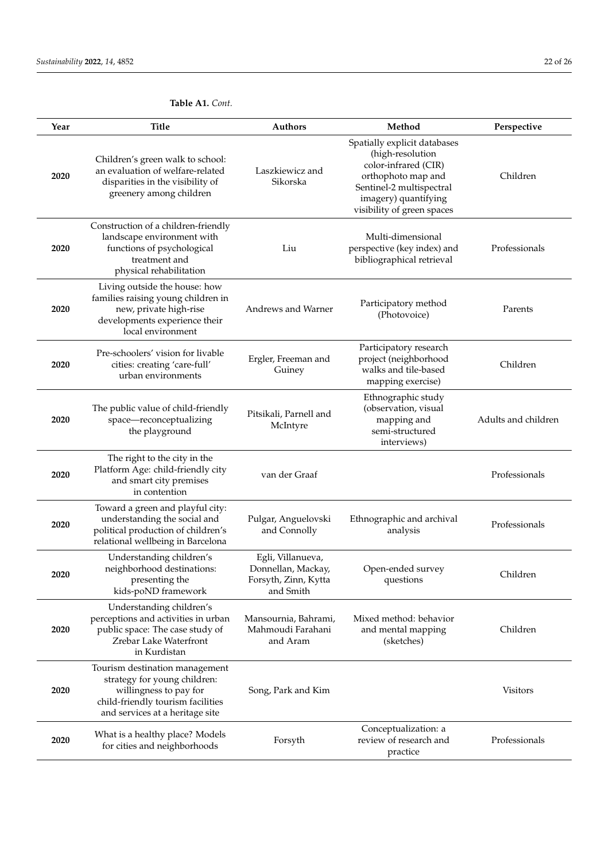| Year | <b>Title</b>                                                                                                                                                     | Authors                                                                      | Method                                                                                                                                                                           | Perspective         |
|------|------------------------------------------------------------------------------------------------------------------------------------------------------------------|------------------------------------------------------------------------------|----------------------------------------------------------------------------------------------------------------------------------------------------------------------------------|---------------------|
| 2020 | Children's green walk to school:<br>an evaluation of welfare-related<br>disparities in the visibility of<br>greenery among children                              | Laszkiewicz and<br>Sikorska                                                  | Spatially explicit databases<br>(high-resolution<br>color-infrared (CIR)<br>orthophoto map and<br>Sentinel-2 multispectral<br>imagery) quantifying<br>visibility of green spaces | Children            |
| 2020 | Construction of a children-friendly<br>landscape environment with<br>functions of psychological<br>treatment and<br>physical rehabilitation                      | Liu                                                                          | Multi-dimensional<br>perspective (key index) and<br>bibliographical retrieval                                                                                                    | Professionals       |
| 2020 | Living outside the house: how<br>families raising young children in<br>new, private high-rise<br>developments experience their<br>local environment              | Andrews and Warner                                                           | Participatory method<br>(Photovoice)                                                                                                                                             | Parents             |
| 2020 | Pre-schoolers' vision for livable<br>cities: creating 'care-full'<br>urban environments                                                                          | Ergler, Freeman and<br>Guiney                                                | Participatory research<br>project (neighborhood<br>walks and tile-based<br>mapping exercise)                                                                                     | Children            |
| 2020 | The public value of child-friendly<br>space-reconceptualizing<br>the playground                                                                                  | Pitsikali, Parnell and<br>McIntyre                                           | Ethnographic study<br>(observation, visual<br>mapping and<br>semi-structured<br>interviews)                                                                                      | Adults and children |
| 2020 | The right to the city in the<br>Platform Age: child-friendly city<br>and smart city premises<br>in contention                                                    | van der Graaf                                                                |                                                                                                                                                                                  | Professionals       |
| 2020 | Toward a green and playful city:<br>understanding the social and<br>political production of children's<br>relational wellbeing in Barcelona                      | Pulgar, Anguelovski<br>and Connolly                                          | Ethnographic and archival<br>analysis                                                                                                                                            | Professionals       |
| 2020 | Understanding children's<br>neighborhood destinations:<br>presenting the<br>kids-poND framework                                                                  | Egli, Villanueva,<br>Donnellan, Mackay,<br>Forsyth, Zinn, Kytta<br>and Smith | Open-ended survey<br>questions                                                                                                                                                   | Children            |
| 2020 | Understanding children's<br>perceptions and activities in urban<br>public space: The case study of<br>Zrebar Lake Waterfront<br>in Kurdistan                     | Mansournia, Bahrami,<br>Mahmoudi Farahani<br>and Aram                        | Mixed method: behavior<br>and mental mapping<br>(sketches)                                                                                                                       | Children            |
| 2020 | Tourism destination management<br>strategy for young children:<br>willingness to pay for<br>child-friendly tourism facilities<br>and services at a heritage site | Song, Park and Kim                                                           |                                                                                                                                                                                  | <b>Visitors</b>     |
| 2020 | What is a healthy place? Models<br>for cities and neighborhoods                                                                                                  | Forsyth                                                                      | Conceptualization: a<br>review of research and<br>practice                                                                                                                       | Professionals       |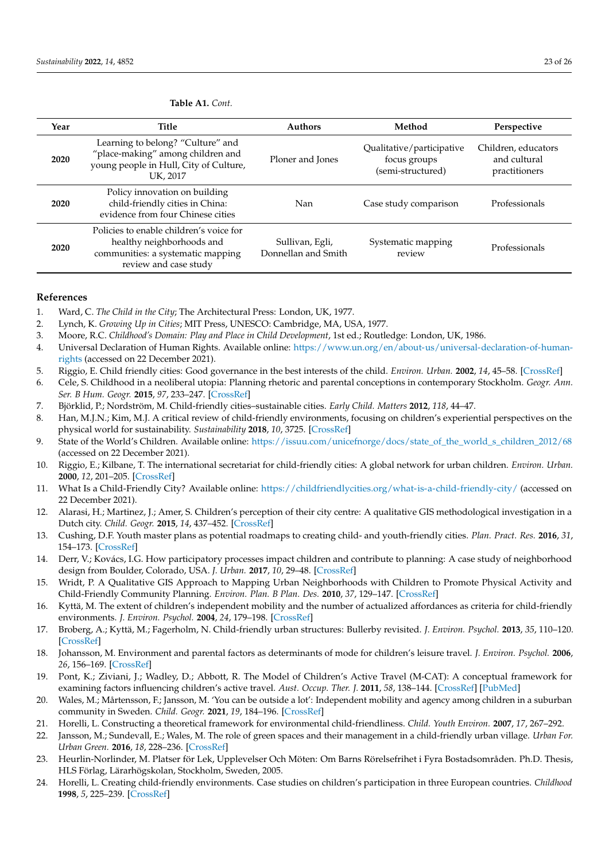| Year | Title                                                                                                                              | <b>Authors</b>                         | Method                                                         | Perspective                                          |
|------|------------------------------------------------------------------------------------------------------------------------------------|----------------------------------------|----------------------------------------------------------------|------------------------------------------------------|
| 2020 | Learning to belong? "Culture" and<br>"place-making" among children and<br>young people in Hull, City of Culture,<br>UK. 2017       | Ploner and Jones                       | Qualitative/participative<br>focus groups<br>(semi-structured) | Children, educators<br>and cultural<br>practitioners |
| 2020 | Policy innovation on building<br>child-friendly cities in China:<br>evidence from four Chinese cities                              | Nan                                    | Case study comparison                                          | Professionals                                        |
| 2020 | Policies to enable children's voice for<br>healthy neighborhoods and<br>communities: a systematic mapping<br>review and case study | Sullivan, Egli,<br>Donnellan and Smith | Systematic mapping<br>review                                   | Professionals                                        |

#### **References**

- <span id="page-22-0"></span>1. Ward, C. *The Child in the City*; The Architectural Press: London, UK, 1977.
- 2. Lynch, K. *Growing Up in Cities*; MIT Press, UNESCO: Cambridge, MA, USA, 1977.
- <span id="page-22-1"></span>3. Moore, R.C. *Childhood's Domain: Play and Place in Child Development*, 1st ed.; Routledge: London, UK, 1986.
- <span id="page-22-2"></span>4. Universal Declaration of Human Rights. Available online: [https://www.un.org/en/about-us/universal-declaration-of-human](https://www.un.org/en/about-us/universal-declaration-of-human-rights)[rights](https://www.un.org/en/about-us/universal-declaration-of-human-rights) (accessed on 22 December 2021).
- <span id="page-22-3"></span>5. Riggio, E. Child friendly cities: Good governance in the best interests of the child. *Environ. Urban.* **2002**, *14*, 45–58. [\[CrossRef\]](http://doi.org/10.1177/095624780201400204)
- <span id="page-22-4"></span>6. Cele, S. Childhood in a neoliberal utopia: Planning rhetoric and parental conceptions in contemporary Stockholm. *Geogr. Ann. Ser. B Hum. Geogr.* **2015**, *97*, 233–247. [\[CrossRef\]](http://doi.org/10.1111/geob.12078)
- <span id="page-22-5"></span>7. Björklid, P.; Nordström, M. Child-friendly cities–sustainable cities. *Early Child. Matters* **2012**, *118*, 44–47.
- <span id="page-22-6"></span>8. Han, M.J.N.; Kim, M.J. A critical review of child-friendly environments, focusing on children's experiential perspectives on the physical world for sustainability. *Sustainability* **2018**, *10*, 3725. [\[CrossRef\]](http://doi.org/10.3390/su10103725)
- <span id="page-22-7"></span>9. State of the World's Children. Available online: [https://issuu.com/unicefnorge/docs/state\\_of\\_the\\_world\\_s\\_children\\_2012/68](https://issuu.com/unicefnorge/docs/state_of_the_world_s_children_2012/68) (accessed on 22 December 2021).
- <span id="page-22-8"></span>10. Riggio, E.; Kilbane, T. The international secretariat for child-friendly cities: A global network for urban children. *Environ. Urban.* **2000**, *12*, 201–205. [\[CrossRef\]](http://doi.org/10.1177/095624780001200216)
- <span id="page-22-9"></span>11. What Is a Child-Friendly City? Available online: <https://childfriendlycities.org/what-is-a-child-friendly-city/> (accessed on 22 December 2021).
- <span id="page-22-10"></span>12. Alarasi, H.; Martinez, J.; Amer, S. Children's perception of their city centre: A qualitative GIS methodological investigation in a Dutch city. *Child. Geogr.* **2015**, *14*, 437–452. [\[CrossRef\]](http://doi.org/10.1080/14733285.2015.1103836)
- <span id="page-22-21"></span>13. Cushing, D.F. Youth master plans as potential roadmaps to creating child- and youth-friendly cities. *Plan. Pract. Res.* **2016**, *31*, 154–173. [\[CrossRef\]](http://doi.org/10.1080/02697459.2015.1110472)
- <span id="page-22-22"></span>14. Derr, V.; Kovács, I.G. How participatory processes impact children and contribute to planning: A case study of neighborhood design from Boulder, Colorado, USA. *J. Urban.* **2017**, *10*, 29–48. [\[CrossRef\]](http://doi.org/10.1080/17549175.2015.1111925)
- <span id="page-22-11"></span>15. Wridt, P. A Qualitative GIS Approach to Mapping Urban Neighborhoods with Children to Promote Physical Activity and Child-Friendly Community Planning. *Environ. Plan. B Plan. Des.* **2010**, *37*, 129–147. [\[CrossRef\]](http://doi.org/10.1068/b35002)
- <span id="page-22-12"></span>16. Kyttä, M. The extent of children's independent mobility and the number of actualized affordances as criteria for child-friendly environments. *J. Environ. Psychol.* **2004**, *24*, 179–198. [\[CrossRef\]](http://doi.org/10.1016/S0272-4944(03)00073-2)
- <span id="page-22-13"></span>17. Broberg, A.; Kyttä, M.; Fagerholm, N. Child-friendly urban structures: Bullerby revisited. *J. Environ. Psychol.* **2013**, *35*, 110–120. [\[CrossRef\]](http://doi.org/10.1016/j.jenvp.2013.06.001)
- <span id="page-22-14"></span>18. Johansson, M. Environment and parental factors as determinants of mode for children's leisure travel. *J. Environ. Psychol.* **2006**, *26*, 156–169. [\[CrossRef\]](http://doi.org/10.1016/j.jenvp.2006.05.005)
- <span id="page-22-15"></span>19. Pont, K.; Ziviani, J.; Wadley, D.; Abbott, R. The Model of Children's Active Travel (M-CAT): A conceptual framework for examining factors influencing children's active travel. *Aust. Occup. Ther. J.* **2011**, *58*, 138–144. [\[CrossRef\]](http://doi.org/10.1111/j.1440-1630.2010.00865.x) [\[PubMed\]](http://www.ncbi.nlm.nih.gov/pubmed/21599678)
- <span id="page-22-16"></span>20. Wales, M.; Mårtensson, F.; Jansson, M. 'You can be outside a lot': Independent mobility and agency among children in a suburban community in Sweden. *Child. Geogr.* **2021**, *19*, 184–196. [\[CrossRef\]](http://doi.org/10.1080/14733285.2020.1773401)
- <span id="page-22-17"></span>21. Horelli, L. Constructing a theoretical framework for environmental child-friendliness. *Child. Youth Environ.* **2007**, *17*, 267–292.
- <span id="page-22-18"></span>22. Jansson, M.; Sundevall, E.; Wales, M. The role of green spaces and their management in a child-friendly urban village. *Urban For. Urban Green.* **2016**, *18*, 228–236. [\[CrossRef\]](http://doi.org/10.1016/j.ufug.2016.06.014)
- <span id="page-22-19"></span>23. Heurlin-Norlinder, M. Platser för Lek, Upplevelser Och Möten: Om Barns Rörelsefrihet i Fyra Bostadsområden. Ph.D. Thesis, HLS Förlag, Lärarhögskolan, Stockholm, Sweden, 2005.
- <span id="page-22-20"></span>24. Horelli, L. Creating child-friendly environments. Case studies on children's participation in three European countries. *Childhood* **1998**, *5*, 225–239. [\[CrossRef\]](http://doi.org/10.1177/0907568298005002008)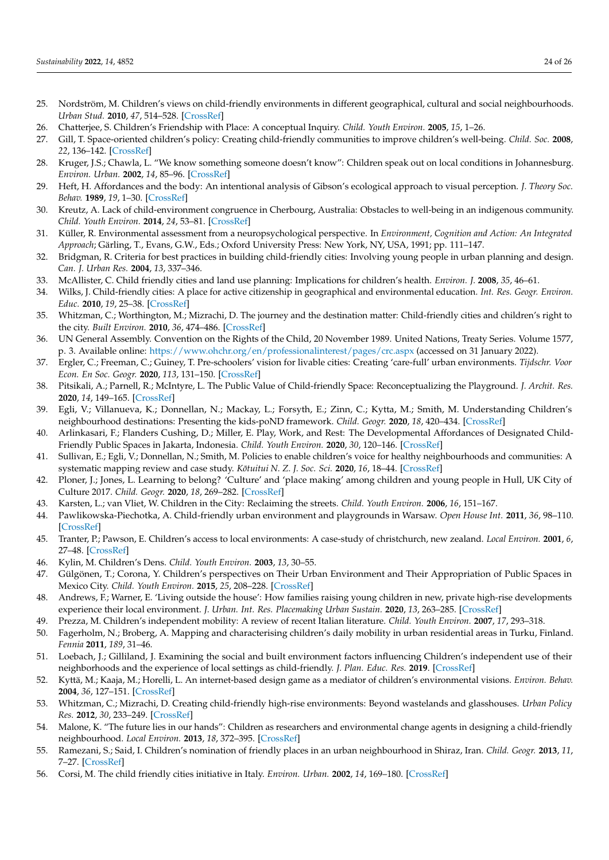- <span id="page-23-0"></span>25. Nordström, M. Children's views on child-friendly environments in different geographical, cultural and social neighbourhoods. *Urban Stud.* **2010**, *47*, 514–528. [\[CrossRef\]](http://doi.org/10.1177/0042098009349771)
- <span id="page-23-1"></span>26. Chatterjee, S. Children's Friendship with Place: A conceptual Inquiry. *Child. Youth Environ.* **2005**, *15*, 1–26.
- <span id="page-23-2"></span>27. Gill, T. Space-oriented children's policy: Creating child-friendly communities to improve children's well-being. *Child. Soc.* **2008**, *22*, 136–142. [\[CrossRef\]](http://doi.org/10.1111/j.1099-0860.2007.00139.x)
- <span id="page-23-3"></span>28. Kruger, J.S.; Chawla, L. "We know something someone doesn't know": Children speak out on local conditions in Johannesburg. *Environ. Urban.* **2002**, *14*, 85–96. [\[CrossRef\]](http://doi.org/10.1177/095624780201400207)
- <span id="page-23-4"></span>29. Heft, H. Affordances and the body: An intentional analysis of Gibson's ecological approach to visual perception. *J. Theory Soc. Behav.* **1989**, *19*, 1–30. [\[CrossRef\]](http://doi.org/10.1111/j.1468-5914.1989.tb00133.x)
- <span id="page-23-5"></span>30. Kreutz, A. Lack of child-environment congruence in Cherbourg, Australia: Obstacles to well-being in an indigenous community. *Child. Youth Environ.* **2014**, *24*, 53–81. [\[CrossRef\]](http://doi.org/10.7721/chilyoutenvi.24.1.0053)
- <span id="page-23-6"></span>31. Küller, R. Environmental assessment from a neuropsychological perspective. In *Environment, Cognition and Action: An Integrated Approach*; Gärling, T., Evans, G.W., Eds.; Oxford University Press: New York, NY, USA, 1991; pp. 111–147.
- <span id="page-23-7"></span>32. Bridgman, R. Criteria for best practices in building child-friendly cities: Involving young people in urban planning and design. *Can. J. Urban Res.* **2004**, *13*, 337–346.
- <span id="page-23-24"></span>33. McAllister, C. Child friendly cities and land use planning: Implications for children's health. *Environ. J.* **2008**, *35*, 46–61.
- <span id="page-23-29"></span>34. Wilks, J. Child-friendly cities: A place for active citizenship in geographical and environmental education. *Int. Res. Geogr. Environ. Educ.* **2010**, *19*, 25–38. [\[CrossRef\]](http://doi.org/10.1080/10382040903545484)
- <span id="page-23-8"></span>35. Whitzman, C.; Worthington, M.; Mizrachi, D. The journey and the destination matter: Child-friendly cities and children's right to the city. *Built Environ.* **2010**, *36*, 474–486. [\[CrossRef\]](http://doi.org/10.2148/benv.36.4.474)
- <span id="page-23-9"></span>36. UN General Assembly. Convention on the Rights of the Child, 20 November 1989. United Nations, Treaty Series. Volume 1577, p. 3. Available online: <https://www.ohchr.org/en/professionalinterest/pages/crc.aspx> (accessed on 31 January 2022).
- <span id="page-23-10"></span>37. Ergler, C.; Freeman, C.; Guiney, T. Pre-schoolers' vision for livable cities: Creating 'care-full' urban environments. *Tijdschr. Voor Econ. En Soc. Geogr.* **2020**, *113*, 131–150. [\[CrossRef\]](http://doi.org/10.1111/tesg.12461)
- <span id="page-23-11"></span>38. Pitsikali, A.; Parnell, R.; McIntyre, L. The Public Value of Child-friendly Space: Reconceptualizing the Playground. *J. Archit. Res.* **2020**, *14*, 149–165. [\[CrossRef\]](http://doi.org/10.1108/ARCH-07-2019-0164)
- <span id="page-23-12"></span>39. Egli, V.; Villanueva, K.; Donnellan, N.; Mackay, L.; Forsyth, E.; Zinn, C.; Kytta, M.; Smith, M. Understanding Children's neighbourhood destinations: Presenting the kids-poND framework. *Child. Geogr.* **2020**, *18*, 420–434. [\[CrossRef\]](http://doi.org/10.1080/14733285.2019.1646889)
- <span id="page-23-13"></span>40. Arlinkasari, F.; Flanders Cushing, D.; Miller, E. Play, Work, and Rest: The Developmental Affordances of Designated Child-Friendly Public Spaces in Jakarta, Indonesia. *Child. Youth Environ.* **2020**, *30*, 120–146. [\[CrossRef\]](http://doi.org/10.7721/chilyoutenvi.30.2.0119)
- <span id="page-23-14"></span>41. Sullivan, E.; Egli, V.; Donnellan, N.; Smith, M. Policies to enable children's voice for healthy neighbourhoods and communities: A systematic mapping review and case study. *Kōtuitui N. Z. J. Soc. Sci.* 2020, 16, 18–44. [\[CrossRef\]](http://doi.org/10.1080/1177083X.2020.1772325)
- <span id="page-23-15"></span>42. Ploner, J.; Jones, L. Learning to belong? 'Culture' and 'place making' among children and young people in Hull, UK City of Culture 2017. *Child. Geogr.* **2020**, *18*, 269–282. [\[CrossRef\]](http://doi.org/10.1080/14733285.2019.1634245)
- <span id="page-23-16"></span>43. Karsten, L.; van Vliet, W. Children in the City: Reclaiming the streets. *Child. Youth Environ.* **2006**, *16*, 151–167.
- <span id="page-23-17"></span>44. Pawlikowska-Piechotka, A. Child-friendly urban environment and playgrounds in Warsaw. *Open House Int.* **2011**, *36*, 98–110. [\[CrossRef\]](http://doi.org/10.1108/OHI-04-2011-B0009)
- <span id="page-23-18"></span>45. Tranter, P.; Pawson, E. Children's access to local environments: A case-study of christchurch, new zealand. *Local Environ.* **2001**, *6*, 27–48. [\[CrossRef\]](http://doi.org/10.1080/13549830120024233)
- <span id="page-23-27"></span>46. Kylin, M. Children's Dens. *Child. Youth Environ.* **2003**, *13*, 30–55.
- <span id="page-23-28"></span>47. Gülgönen, T.; Corona, Y. Children's perspectives on Their Urban Environment and Their Appropriation of Public Spaces in Mexico City. *Child. Youth Environ.* **2015**, *25*, 208–228. [\[CrossRef\]](http://doi.org/10.7721/chilyoutenvi.25.2.0208)
- <span id="page-23-19"></span>48. Andrews, F.; Warner, E. 'Living outside the house': How families raising young children in new, private high-rise developments experience their local environment. *J. Urban. Int. Res. Placemaking Urban Sustain.* **2020**, *13*, 263–285. [\[CrossRef\]](http://doi.org/10.1080/17549175.2019.1696387)
- <span id="page-23-20"></span>49. Prezza, M. Children's independent mobility: A review of recent Italian literature. *Child. Youth Environ.* **2007**, *17*, 293–318.
- <span id="page-23-30"></span>50. Fagerholm, N.; Broberg, A. Mapping and characterising children's daily mobility in urban residential areas in Turku, Finland. *Fennia* **2011**, *189*, 31–46.
- <span id="page-23-21"></span>51. Loebach, J.; Gilliland, J. Examining the social and built environment factors influencing Children's independent use of their neighborhoods and the experience of local settings as child-friendly. *J. Plan. Educ. Res.* **2019**. [\[CrossRef\]](http://doi.org/10.1177/0739456X19828444)
- <span id="page-23-22"></span>52. Kyttä, M.; Kaaja, M.; Horelli, L. An internet-based design game as a mediator of children's environmental visions. *Environ. Behav.* **2004**, *36*, 127–151. [\[CrossRef\]](http://doi.org/10.1177/0013916503254839)
- <span id="page-23-31"></span>53. Whitzman, C.; Mizrachi, D. Creating child-friendly high-rise environments: Beyond wastelands and glasshouses. *Urban Policy Res.* **2012**, *30*, 233–249. [\[CrossRef\]](http://doi.org/10.1080/08111146.2012.663729)
- <span id="page-23-26"></span>54. Malone, K. "The future lies in our hands": Children as researchers and environmental change agents in designing a child-friendly neighbourhood. *Local Environ.* **2013**, *18*, 372–395. [\[CrossRef\]](http://doi.org/10.1080/13549839.2012.719020)
- <span id="page-23-23"></span>55. Ramezani, S.; Said, I. Children's nomination of friendly places in an urban neighbourhood in Shiraz, Iran. *Child. Geogr.* **2013**, *11*, 7–27. [\[CrossRef\]](http://doi.org/10.1080/14733285.2012.742699)
- <span id="page-23-25"></span>56. Corsi, M. The child friendly cities initiative in Italy. *Environ. Urban.* **2002**, *14*, 169–180. [\[CrossRef\]](http://doi.org/10.1177/095624780201400214)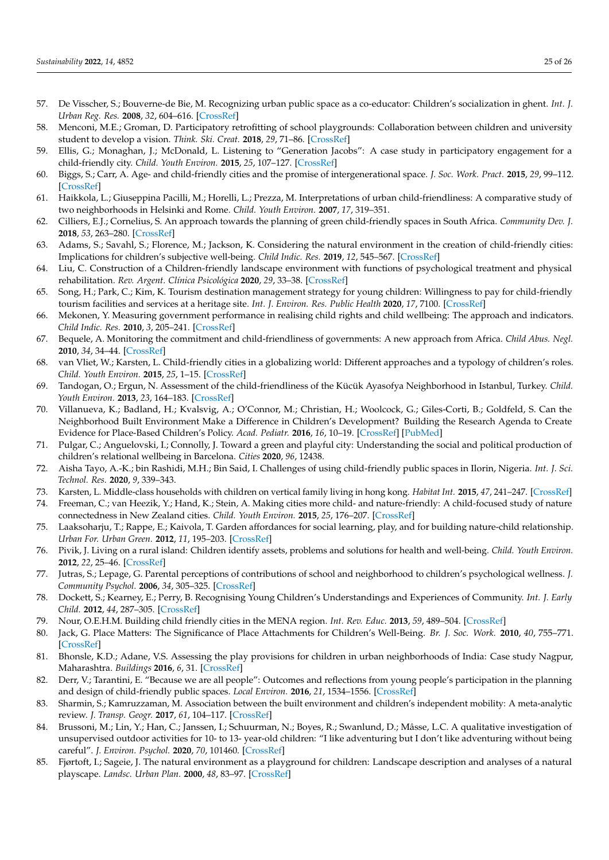- <span id="page-24-28"></span>57. De Visscher, S.; Bouverne-de Bie, M. Recognizing urban public space as a co-educator: Children's socialization in ghent. *Int. J. Urban Reg. Res.* **2008**, *32*, 604–616. [\[CrossRef\]](http://doi.org/10.1111/j.1468-2427.2008.00798.x)
- <span id="page-24-0"></span>58. Menconi, M.E.; Groman, D. Participatory retrofitting of school playgrounds: Collaboration between children and university student to develop a vision. *Think. Ski. Creat.* **2018**, *29*, 71–86. [\[CrossRef\]](http://doi.org/10.1016/j.tsc.2018.06.006)
- <span id="page-24-1"></span>59. Ellis, G.; Monaghan, J.; McDonald, L. Listening to "Generation Jacobs": A case study in participatory engagement for a child-friendly city. *Child. Youth Environ.* **2015**, *25*, 107–127. [\[CrossRef\]](http://doi.org/10.7721/chilyoutenvi.25.2.0107)
- <span id="page-24-2"></span>60. Biggs, S.; Carr, A. Age- and child-friendly cities and the promise of intergenerational space. *J. Soc. Work. Pract.* **2015**, *29*, 99–112. [\[CrossRef\]](http://doi.org/10.1080/02650533.2014.993942)
- <span id="page-24-3"></span>61. Haikkola, L.; Giuseppina Pacilli, M.; Horelli, L.; Prezza, M. Interpretations of urban child-friendliness: A comparative study of two neighborhoods in Helsinki and Rome. *Child. Youth Environ.* **2007**, *17*, 319–351.
- <span id="page-24-10"></span>62. Cilliers, E.J.; Cornelius, S. An approach towards the planning of green child-friendly spaces in South Africa. *Community Dev. J.* **2018**, *53*, 263–280. [\[CrossRef\]](http://doi.org/10.1093/cdj/bsw040)
- <span id="page-24-23"></span>63. Adams, S.; Savahl, S.; Florence, M.; Jackson, K. Considering the natural environment in the creation of child-friendly cities: Implications for children's subjective well-being. *Child Indic. Res.* **2019**, *12*, 545–567. [\[CrossRef\]](http://doi.org/10.1007/s12187-018-9531-x)
- <span id="page-24-26"></span>64. Liu, C. Construction of a Children-friendly landscape environment with functions of psychological treatment and physical rehabilitation. *Rev. Argent. Clínica Psicológica* **2020**, *29*, 33–38. [\[CrossRef\]](http://doi.org/10.24205/03276716.2020.5)
- <span id="page-24-4"></span>65. Song, H.; Park, C.; Kim, K. Tourism destination management strategy for young children: Willingness to pay for child-friendly tourism facilities and services at a heritage site. *Int. J. Environ. Res. Public Health* **2020**, *17*, 7100. [\[CrossRef\]](http://doi.org/10.3390/ijerph17197100)
- <span id="page-24-5"></span>66. Mekonen, Y. Measuring government performance in realising child rights and child wellbeing: The approach and indicators. *Child Indic. Res.* **2010**, *3*, 205–241. [\[CrossRef\]](http://doi.org/10.1007/s12187-009-9047-5)
- <span id="page-24-6"></span>67. Bequele, A. Monitoring the commitment and child-friendliness of governments: A new approach from Africa. *Child Abus. Negl.* **2010**, *34*, 34–44. [\[CrossRef\]](http://doi.org/10.1016/j.chiabu.2009.08.007)
- <span id="page-24-7"></span>68. van Vliet, W.; Karsten, L. Child-friendly cities in a globalizing world: Different approaches and a typology of children's roles. *Child. Youth Environ.* **2015**, *25*, 1–15. [\[CrossRef\]](http://doi.org/10.7721/chilyoutenvi.25.2.0001)
- <span id="page-24-8"></span>69. Tandogan, O.; Ergun, N. Assessment of the child-friendliness of the Kücük Ayasofya Neighborhood in Istanbul, Turkey. *Child. Youth Environ.* **2013**, *23*, 164–183. [\[CrossRef\]](http://doi.org/10.7721/chilyoutenvi.23.3.0164)
- <span id="page-24-9"></span>70. Villanueva, K.; Badland, H.; Kvalsvig, A.; O'Connor, M.; Christian, H.; Woolcock, G.; Giles-Corti, B.; Goldfeld, S. Can the Neighborhood Built Environment Make a Difference in Children's Development? Building the Research Agenda to Create Evidence for Place-Based Children's Policy. *Acad. Pediatr.* **2016**, *16*, 10–19. [\[CrossRef\]](http://doi.org/10.1016/j.acap.2015.09.006) [\[PubMed\]](http://www.ncbi.nlm.nih.gov/pubmed/26432681)
- <span id="page-24-11"></span>71. Pulgar, C.; Anguelovski, I.; Connolly, J. Toward a green and playful city: Understanding the social and political production of children's relational wellbeing in Barcelona. *Cities* **2020**, *96*, 12438.
- <span id="page-24-12"></span>72. Aisha Tayo, A.-K.; bin Rashidi, M.H.; Bin Said, I. Challenges of using child-friendly public spaces in Ilorin, Nigeria. *Int. J. Sci. Technol. Res.* **2020**, *9*, 339–343.
- <span id="page-24-13"></span>73. Karsten, L. Middle-class households with children on vertical family living in hong kong. *Habitat Int.* **2015**, *47*, 241–247. [\[CrossRef\]](http://doi.org/10.1016/j.habitatint.2015.01.023)
- <span id="page-24-14"></span>74. Freeman, C.; van Heezik, Y.; Hand, K.; Stein, A. Making cities more child- and nature-friendly: A child-focused study of nature connectedness in New Zealand cities. *Child. Youth Environ.* **2015**, *25*, 176–207. [\[CrossRef\]](http://doi.org/10.7721/chilyoutenvi.25.2.0176)
- <span id="page-24-15"></span>75. Laaksoharju, T.; Rappe, E.; Kaivola, T. Garden affordances for social learning, play, and for building nature-child relationship. *Urban For. Urban Green.* **2012**, *11*, 195–203. [\[CrossRef\]](http://doi.org/10.1016/j.ufug.2012.01.003)
- <span id="page-24-16"></span>76. Pivik, J. Living on a rural island: Children identify assets, problems and solutions for health and well-being. *Child. Youth Environ.* **2012**, *22*, 25–46. [\[CrossRef\]](http://doi.org/10.7721/chilyoutenvi.22.2.0025)
- <span id="page-24-17"></span>77. Jutras, S.; Lepage, G. Parental perceptions of contributions of school and neighborhood to children's psychological wellness. *J. Community Psychol.* **2006**, *34*, 305–325. [\[CrossRef\]](http://doi.org/10.1002/jcop.20101)
- <span id="page-24-18"></span>78. Dockett, S.; Kearney, E.; Perry, B. Recognising Young Children's Understandings and Experiences of Community. *Int. J. Early Child.* **2012**, *44*, 287–305. [\[CrossRef\]](http://doi.org/10.1007/s13158-012-0073-y)
- <span id="page-24-19"></span>79. Nour, O.E.H.M. Building child friendly cities in the MENA region. *Int. Rev. Educ.* **2013**, *59*, 489–504. [\[CrossRef\]](http://doi.org/10.1007/s11159-013-9373-1)
- <span id="page-24-20"></span>80. Jack, G. Place Matters: The Significance of Place Attachments for Children's Well-Being. *Br. J. Soc. Work.* **2010**, *40*, 755–771. [\[CrossRef\]](http://doi.org/10.1093/bjsw/bcn142)
- <span id="page-24-21"></span>81. Bhonsle, K.D.; Adane, V.S. Assessing the play provisions for children in urban neighborhoods of India: Case study Nagpur, Maharashtra. *Buildings* **2016**, *6*, 31. [\[CrossRef\]](http://doi.org/10.3390/buildings6030031)
- <span id="page-24-22"></span>82. Derr, V.; Tarantini, E. "Because we are all people": Outcomes and reflections from young people's participation in the planning and design of child-friendly public spaces. *Local Environ.* **2016**, *21*, 1534–1556. [\[CrossRef\]](http://doi.org/10.1080/13549839.2016.1145643)
- <span id="page-24-24"></span>83. Sharmin, S.; Kamruzzaman, M. Association between the built environment and children's independent mobility: A meta-analytic review. *J. Transp. Geogr.* **2017**, *61*, 104–117. [\[CrossRef\]](http://doi.org/10.1016/j.jtrangeo.2017.04.004)
- <span id="page-24-25"></span>84. Brussoni, M.; Lin, Y.; Han, C.; Janssen, I.; Schuurman, N.; Boyes, R.; Swanlund, D.; Mâsse, L.C. A qualitative investigation of unsupervised outdoor activities for 10- to 13- year-old children: "I like adventuring but I don't like adventuring without being careful". *J. Environ. Psychol.* **2020**, *70*, 101460. [\[CrossRef\]](http://doi.org/10.1016/j.jenvp.2020.101460)
- <span id="page-24-27"></span>85. Fjørtoft, I.; Sageie, J. The natural environment as a playground for children: Landscape description and analyses of a natural playscape. *Landsc. Urban Plan.* **2000**, *48*, 83–97. [\[CrossRef\]](http://doi.org/10.1016/S0169-2046(00)00045-1)